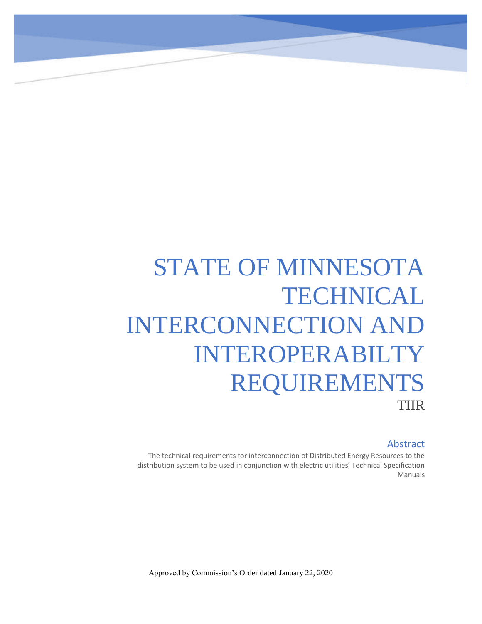# STATE OF MINNESOTA TECHNICAL INTERCONNECTION AND INTEROPERABILTY REQUIREMENTS TIIR

#### Abstract

The technical requirements for interconnection of Distributed Energy Resources to the distribution system to be used in conjunction with electric utilities' Technical Specification Manuals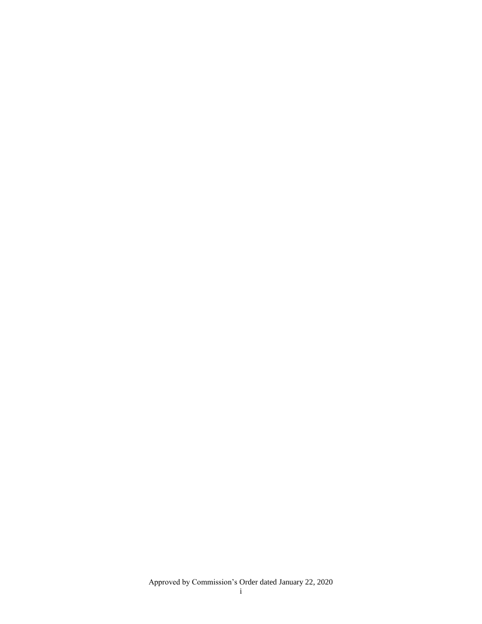Approved by Commission's Order dated January 22, 2020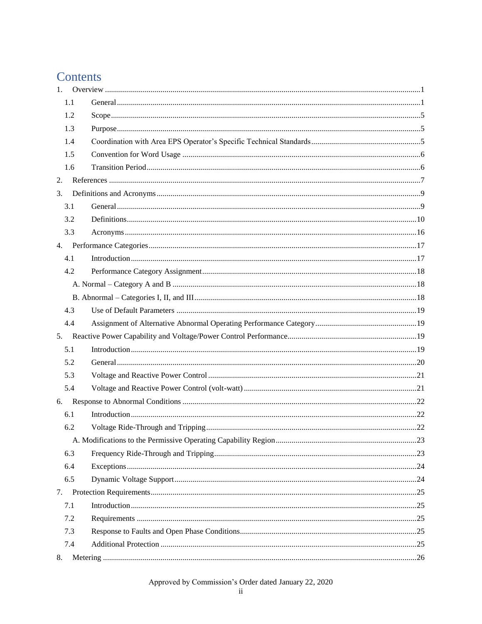## Contents

| 1.  |  |
|-----|--|
| 1.1 |  |
| 1.2 |  |
| 1.3 |  |
| 1.4 |  |
| 1.5 |  |
| 1.6 |  |
| 2.  |  |
| 3.  |  |
| 3.1 |  |
| 3.2 |  |
| 3.3 |  |
| 4.  |  |
| 4.1 |  |
| 4.2 |  |
|     |  |
|     |  |
| 4.3 |  |
| 4.4 |  |
| 5.  |  |
| 5.1 |  |
| 5.2 |  |
| 5.3 |  |
| 5.4 |  |
| 6.  |  |
| 6.1 |  |
| 6.2 |  |
|     |  |
| 6.3 |  |
| 6.4 |  |
| 6.5 |  |
|     |  |
| 7.1 |  |
| 7.2 |  |
| 7.3 |  |
| 7.4 |  |
| 8.  |  |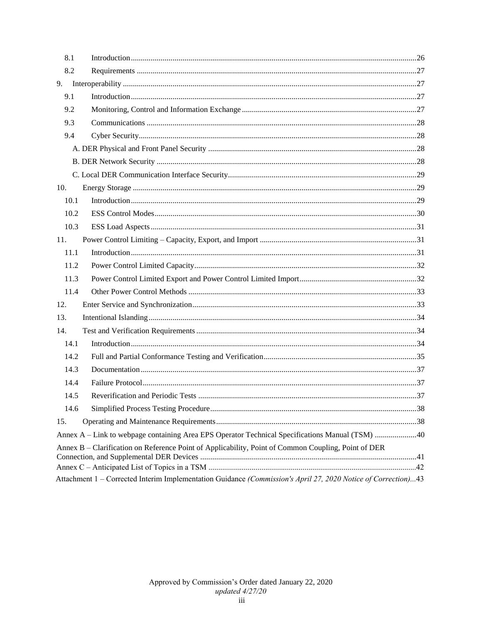| 8.1                                                                                                           |  |
|---------------------------------------------------------------------------------------------------------------|--|
| 8.2                                                                                                           |  |
| 9.                                                                                                            |  |
| 9.1                                                                                                           |  |
| 9.2                                                                                                           |  |
| 9.3                                                                                                           |  |
| 9.4                                                                                                           |  |
|                                                                                                               |  |
|                                                                                                               |  |
|                                                                                                               |  |
| 10.                                                                                                           |  |
| 10.1                                                                                                          |  |
| 10.2                                                                                                          |  |
| 10.3                                                                                                          |  |
| 11.                                                                                                           |  |
| 11.1                                                                                                          |  |
| 11.2                                                                                                          |  |
| 11.3                                                                                                          |  |
| 11.4                                                                                                          |  |
| 12.                                                                                                           |  |
| 13.                                                                                                           |  |
| 14.                                                                                                           |  |
| 14.1                                                                                                          |  |
| 14.2                                                                                                          |  |
| 14.3                                                                                                          |  |
| 14.4                                                                                                          |  |
| 14.5                                                                                                          |  |
| 14.6                                                                                                          |  |
| 15.                                                                                                           |  |
| Annex A – Link to webpage containing Area EPS Operator Technical Specifications Manual (TSM) 40               |  |
| Annex B - Clarification on Reference Point of Applicability, Point of Common Coupling, Point of DER           |  |
|                                                                                                               |  |
| Attachment 1 - Corrected Interim Implementation Guidance (Commission's April 27, 2020 Notice of Correction)43 |  |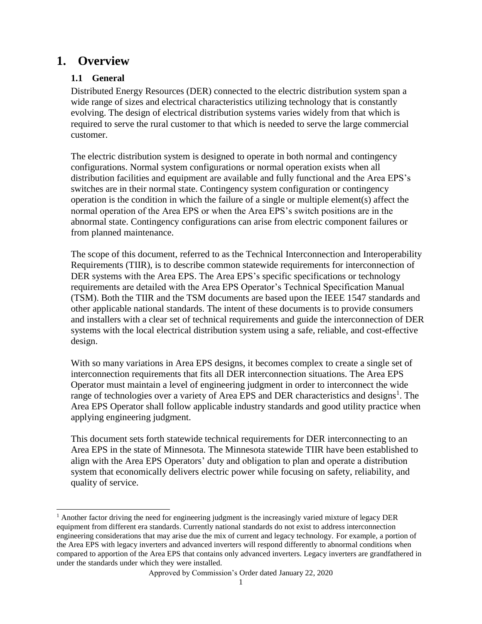### <span id="page-4-1"></span><span id="page-4-0"></span>**1. Overview**

#### **1.1 General**

Distributed Energy Resources (DER) connected to the electric distribution system span a wide range of sizes and electrical characteristics utilizing technology that is constantly evolving. The design of electrical distribution systems varies widely from that which is required to serve the rural customer to that which is needed to serve the large commercial customer.

The electric distribution system is designed to operate in both normal and contingency configurations. Normal system configurations or normal operation exists when all distribution facilities and equipment are available and fully functional and the Area EPS's switches are in their normal state. Contingency system configuration or contingency operation is the condition in which the failure of a single or multiple element(s) affect the normal operation of the Area EPS or when the Area EPS's switch positions are in the abnormal state. Contingency configurations can arise from electric component failures or from planned maintenance.

The scope of this document, referred to as the Technical Interconnection and Interoperability Requirements (TIIR), is to describe common statewide requirements for interconnection of DER systems with the Area EPS. The Area EPS's specific specifications or technology requirements are detailed with the Area EPS Operator's Technical Specification Manual (TSM). Both the TIIR and the TSM documents are based upon the IEEE 1547 standards and other applicable national standards. The intent of these documents is to provide consumers and installers with a clear set of technical requirements and guide the interconnection of DER systems with the local electrical distribution system using a safe, reliable, and cost-effective design.

With so many variations in Area EPS designs, it becomes complex to create a single set of interconnection requirements that fits all DER interconnection situations. The Area EPS Operator must maintain a level of engineering judgment in order to interconnect the wide range of technologies over a variety of Area EPS and DER characteristics and designs<sup>1</sup>. The Area EPS Operator shall follow applicable industry standards and good utility practice when applying engineering judgment.

This document sets forth statewide technical requirements for DER interconnecting to an Area EPS in the state of Minnesota. The Minnesota statewide TIIR have been established to align with the Area EPS Operators' duty and obligation to plan and operate a distribution system that economically delivers electric power while focusing on safety, reliability, and quality of service.

Approved by Commission's Order dated January 22, 2020

 $<sup>1</sup>$  Another factor driving the need for engineering judgment is the increasingly varied mixture of legacy DER</sup> equipment from different era standards. Currently national standards do not exist to address interconnection engineering considerations that may arise due the mix of current and legacy technology. For example, a portion of the Area EPS with legacy inverters and advanced inverters will respond differently to abnormal conditions when compared to apportion of the Area EPS that contains only advanced inverters. Legacy inverters are grandfathered in under the standards under which they were installed.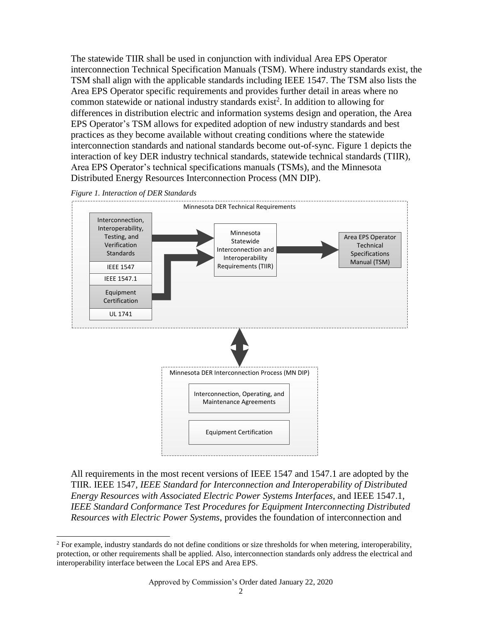The statewide TIIR shall be used in conjunction with individual Area EPS Operator interconnection Technical Specification Manuals (TSM). Where industry standards exist, the TSM shall align with the applicable standards including IEEE 1547. The TSM also lists the Area EPS Operator specific requirements and provides further detail in areas where no common statewide or national industry standards  $exist<sup>2</sup>$ . In addition to allowing for differences in distribution electric and information systems design and operation, the Area EPS Operator's TSM allows for expedited adoption of new industry standards and best practices as they become available without creating conditions where the statewide interconnection standards and national standards become out-of-sync. Figure 1 depicts the interaction of key DER industry technical standards, statewide technical standards (TIIR), Area EPS Operator's technical specifications manuals (TSMs), and the Minnesota Distributed Energy Resources Interconnection Process (MN DIP).





All requirements in the most recent versions of IEEE 1547 and 1547.1 are adopted by the TIIR. IEEE 1547*, IEEE Standard for Interconnection and Interoperability of Distributed Energy Resources with Associated Electric Power Systems Interfaces*, and IEEE 1547.1, *IEEE Standard Conformance Test Procedures for Equipment Interconnecting Distributed Resources with Electric Power Systems*, provides the foundation of interconnection and

<sup>&</sup>lt;sup>2</sup> For example, industry standards do not define conditions or size thresholds for when metering, interoperability, protection, or other requirements shall be applied. Also, interconnection standards only address the electrical and interoperability interface between the Local EPS and Area EPS.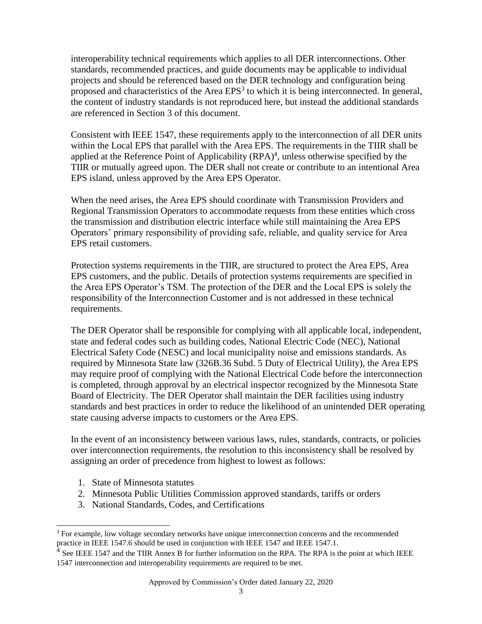interoperability technical requirements which applies to all DER interconnections. Other standards, recommended practices, and guide documents may be applicable to individual projects and should be referenced based on the DER technology and configuration being proposed and characteristics of the Area  $EPS<sup>3</sup>$  to which it is being interconnected. In general, the content of industry standards is not reproduced here, but instead the additional standards are referenced in Section 3 of this document.

Consistent with IEEE 1547, these requirements apply to the interconnection of all DER units within the Local EPS that parallel with the Area EPS. The requirements in the TIIR shall be applied at the Reference Point of Applicability  $(RPA)^4$ , unless otherwise specified by the TIIR or mutually agreed upon. The DER shall not create or contribute to an intentional Area EPS island, unless approved by the Area EPS Operator.

When the need arises, the Area EPS should coordinate with Transmission Providers and Regional Transmission Operators to accommodate requests from these entities which cross the transmission and distribution electric interface while still maintaining the Area EPS Operators' primary responsibility of providing safe, reliable, and quality service for Area EPS retail customers.

Protection systems requirements in the TIIR, are structured to protect the Area EPS, Area EPS customers, and the public. Details of protection systems requirements are specified in the Area EPS Operator's TSM. The protection of the DER and the Local EPS is solely the responsibility of the Interconnection Customer and is not addressed in these technical requirements.

The DER Operator shall be responsible for complying with all applicable local, independent, state and federal codes such as building codes, National Electric Code (NEC), National Electrical Safety Code (NESC) and local municipality noise and emissions standards. As required by Minnesota State law (326B.36 Subd. 5 Duty of Electrical Utility), the Area EPS may require proof of complying with the National Electrical Code before the interconnection is completed, through approval by an electrical inspector recognized by the Minnesota State Board of Electricity. The DER Operator shall maintain the DER facilities using industry standards and best practices in order to reduce the likelihood of an unintended DER operating state causing adverse impacts to customers or the Area EPS.

In the event of an inconsistency between various laws, rules, standards, contracts, or policies over interconnection requirements, the resolution to this inconsistency shall be resolved by assigning an order of precedence from highest to lowest as follows:

- 1. State of Minnesota statutes
- 2. Minnesota Public Utilities Commission approved standards, tariffs or orders
- 3. National Standards, Codes, and Certifications

<sup>&</sup>lt;sup>3</sup> For example, low voltage secondary networks have unique interconnection concerns and the recommended practice in IEEE 1547.6 should be used in conjunction with IEEE 1547 and IEEE 1547.1.

 $<sup>4</sup>$  See IEEE 1547 and the TIIR Annex B for further information on the RPA. The RPA is the point at which IEEE</sup> 1547 interconnection and interoperability requirements are required to be met.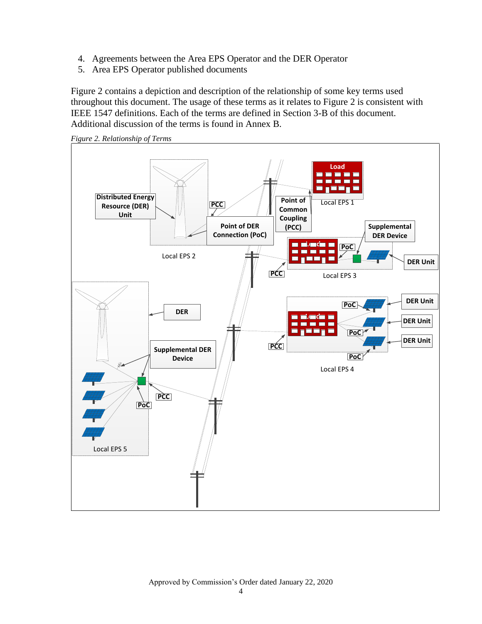- 4. Agreements between the Area EPS Operator and the DER Operator
- 5. Area EPS Operator published documents

Figure 2 contains a depiction and description of the relationship of some key terms used throughout this document. The usage of these terms as it relates to Figure 2 is consistent with IEEE 1547 definitions. Each of the terms are defined in Section 3-B of this document. Additional discussion of the terms is found in Annex B.

**Load Distributed Energy Point of**  Local EPS 1 **PCC**<br>
Point of DER **POINT POINT POINT POINT POINT POINT POINT POINT POINT POINT POINT POINT POINT POINT POINT POINT POINT POINT POINT Resource (DER) Unit Common Coupling PoC Point of DER Supplemental Connection (PoC) DER Device Load**<br>Load Load Load<br>Load Load Load Load Local EPS 2<br>
PCC Local EPS 3 **DER Unit PCC DER Unit PoC DER**wi.com<br>Load as an **DER Unit** п ang a п **PoC**<sup>*A*</sup><br>**Hiffle DER Unit PCC Supplemental DER Device PoC** Local EPS 4 **PCC PoC** Local EPS 5

*Figure 2. Relationship of Terms*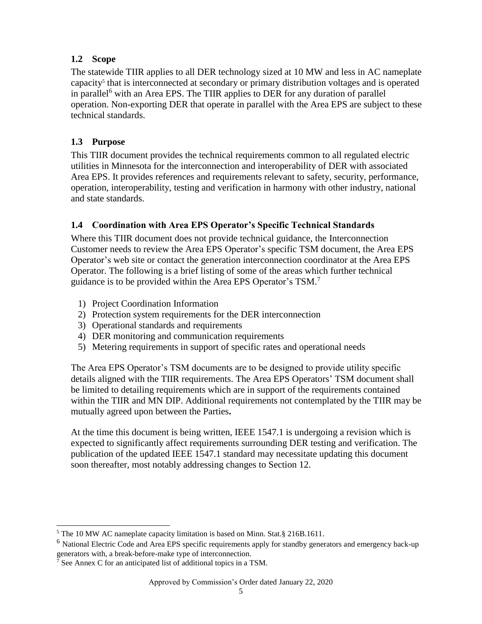#### <span id="page-8-0"></span>**1.2 Scope**

The statewide TIIR applies to all DER technology sized at 10 MW and less in AC nameplate capacity<sup>5</sup> that is interconnected at secondary or primary distribution voltages and is operated in parallel<sup>6</sup> with an Area EPS. The TIIR applies to DER for any duration of parallel operation. Non-exporting DER that operate in parallel with the Area EPS are subject to these technical standards.

#### <span id="page-8-1"></span>**1.3 Purpose**

This TIIR document provides the technical requirements common to all regulated electric utilities in Minnesota for the interconnection and interoperability of DER with associated Area EPS. It provides references and requirements relevant to safety, security, performance, operation, interoperability, testing and verification in harmony with other industry, national and state standards.

#### <span id="page-8-2"></span>**1.4 Coordination with Area EPS Operator's Specific Technical Standards**

Where this TIIR document does not provide technical guidance, the Interconnection Customer needs to review the Area EPS Operator's specific TSM document, the Area EPS Operator's web site or contact the generation interconnection coordinator at the Area EPS Operator. The following is a brief listing of some of the areas which further technical guidance is to be provided within the Area EPS Operator's TSM.<sup>7</sup>

- 1) Project Coordination Information
- 2) Protection system requirements for the DER interconnection
- 3) Operational standards and requirements
- 4) DER monitoring and communication requirements
- 5) Metering requirements in support of specific rates and operational needs

The Area EPS Operator's TSM documents are to be designed to provide utility specific details aligned with the TIIR requirements. The Area EPS Operators' TSM document shall be limited to detailing requirements which are in support of the requirements contained within the TIIR and MN DIP. Additional requirements not contemplated by the TIIR may be mutually agreed upon between the Parties**.**

At the time this document is being written, IEEE 1547.1 is undergoing a revision which is expected to significantly affect requirements surrounding DER testing and verification. The publication of the updated IEEE 1547.1 standard may necessitate updating this document soon thereafter, most notably addressing changes to Section 12.

<sup>5</sup> The 10 MW AC nameplate capacity limitation is based on Minn. Stat.§ 216B.1611.

<sup>&</sup>lt;sup>6</sup> National Electric Code and Area EPS specific requirements apply for standby generators and emergency back-up generators with, a break-before-make type of interconnection.

 $7$  See Annex C for an anticipated list of additional topics in a TSM.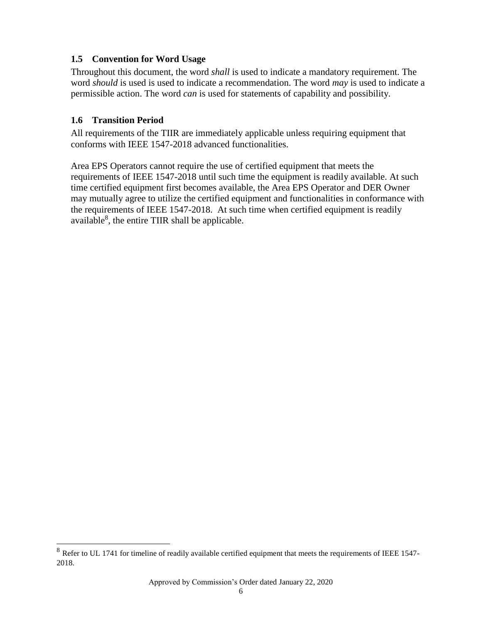#### <span id="page-9-0"></span>**1.5 Convention for Word Usage**

Throughout this document, the word *shall* is used to indicate a mandatory requirement. The word *should* is used is used to indicate a recommendation. The word *may* is used to indicate a permissible action. The word *can* is used for statements of capability and possibility.

#### <span id="page-9-1"></span>**1.6 Transition Period**

All requirements of the TIIR are immediately applicable unless requiring equipment that conforms with IEEE 1547-2018 advanced functionalities.

Area EPS Operators cannot require the use of certified equipment that meets the requirements of IEEE 1547-2018 until such time the equipment is readily available. At such time certified equipment first becomes available, the Area EPS Operator and DER Owner may mutually agree to utilize the certified equipment and functionalities in conformance with the requirements of IEEE 1547-2018. At such time when certified equipment is readily available $\delta$ , the entire TIIR shall be applicable.

<sup>&</sup>lt;sup>8</sup> Refer to UL 1741 for timeline of readily available certified equipment that meets the requirements of IEEE 1547-2018.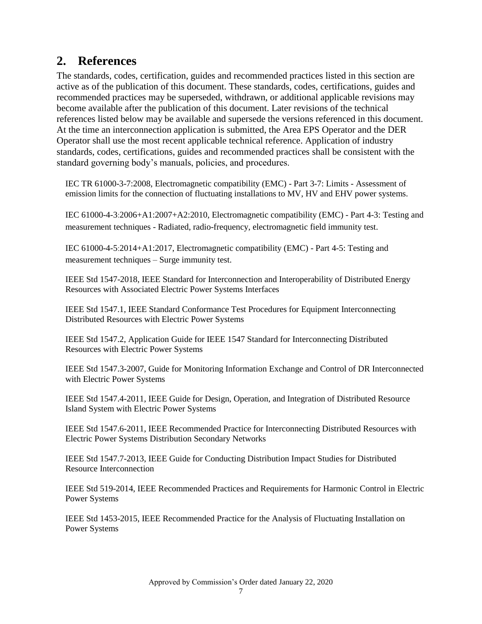## <span id="page-10-0"></span>**2. References**

The standards, codes, certification, guides and recommended practices listed in this section are active as of the publication of this document. These standards, codes, certifications, guides and recommended practices may be superseded, withdrawn, or additional applicable revisions may become available after the publication of this document. Later revisions of the technical references listed below may be available and supersede the versions referenced in this document. At the time an interconnection application is submitted, the Area EPS Operator and the DER Operator shall use the most recent applicable technical reference. Application of industry standards, codes, certifications, guides and recommended practices shall be consistent with the standard governing body's manuals, policies, and procedures.

IEC TR 61000-3-7:2008, Electromagnetic compatibility (EMC) - Part 3-7: Limits - Assessment of emission limits for the connection of fluctuating installations to MV, HV and EHV power systems.

IEC 61000-4-3:2006+A1:2007+A2:2010, Electromagnetic compatibility (EMC) - Part 4-3: Testing and measurement techniques - Radiated, radio-frequency, electromagnetic field immunity test.

IEC 61000-4-5:2014+A1:2017, Electromagnetic compatibility (EMC) - Part 4-5: Testing and measurement techniques – Surge immunity test.

IEEE Std 1547-2018, IEEE Standard for Interconnection and Interoperability of Distributed Energy Resources with Associated Electric Power Systems Interfaces

IEEE Std 1547.1, IEEE Standard Conformance Test Procedures for Equipment Interconnecting Distributed Resources with Electric Power Systems

IEEE Std 1547.2, Application Guide for IEEE 1547 Standard for Interconnecting Distributed Resources with Electric Power Systems

IEEE Std 1547.3-2007, Guide for Monitoring Information Exchange and Control of DR Interconnected with Electric Power Systems

IEEE Std 1547.4-2011, IEEE Guide for Design, Operation, and Integration of Distributed Resource Island System with Electric Power Systems

IEEE Std 1547.6-2011, IEEE Recommended Practice for Interconnecting Distributed Resources with Electric Power Systems Distribution Secondary Networks

IEEE Std 1547.7-2013, IEEE Guide for Conducting Distribution Impact Studies for Distributed Resource Interconnection

IEEE Std 519-2014, IEEE Recommended Practices and Requirements for Harmonic Control in Electric Power Systems

IEEE Std 1453-2015, IEEE Recommended Practice for the Analysis of Fluctuating Installation on Power Systems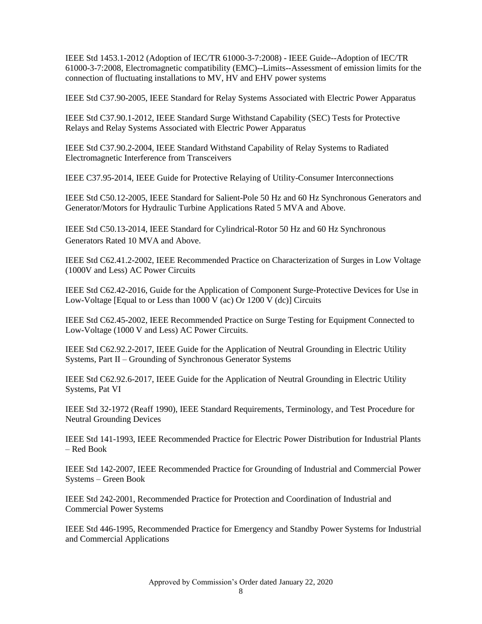IEEE Std 1453.1-2012 (Adoption of IEC/TR 61000-3-7:2008) - IEEE Guide--Adoption of IEC/TR 61000-3-7:2008, Electromagnetic compatibility (EMC)--Limits--Assessment of emission limits for the connection of fluctuating installations to MV, HV and EHV power systems

IEEE Std C37.90-2005, IEEE Standard for Relay Systems Associated with Electric Power Apparatus

IEEE Std C37.90.1-2012, IEEE Standard Surge Withstand Capability (SEC) Tests for Protective Relays and Relay Systems Associated with Electric Power Apparatus

IEEE Std C37.90.2-2004, IEEE Standard Withstand Capability of Relay Systems to Radiated Electromagnetic Interference from Transceivers

IEEE C37.95-2014, IEEE Guide for Protective Relaying of Utility-Consumer Interconnections

IEEE Std C50.12-2005, IEEE Standard for Salient-Pole 50 Hz and 60 Hz Synchronous Generators and Generator/Motors for Hydraulic Turbine Applications Rated 5 MVA and Above.

IEEE Std C50.13-2014, IEEE Standard for Cylindrical-Rotor 50 Hz and 60 Hz Synchronous Generators Rated 10 MVA and Above.

IEEE Std C62.41.2-2002, IEEE Recommended Practice on Characterization of Surges in Low Voltage (1000V and Less) AC Power Circuits

IEEE Std C62.42-2016, Guide for the Application of Component Surge-Protective Devices for Use in Low-Voltage [Equal to or Less than 1000 V (ac) Or 1200 V (dc)] Circuits

IEEE Std C62.45-2002, IEEE Recommended Practice on Surge Testing for Equipment Connected to Low-Voltage (1000 V and Less) AC Power Circuits.

IEEE Std C62.92.2-2017, IEEE Guide for the Application of Neutral Grounding in Electric Utility Systems, Part II – Grounding of Synchronous Generator Systems

IEEE Std C62.92.6-2017, IEEE Guide for the Application of Neutral Grounding in Electric Utility Systems, Pat VI

IEEE Std 32-1972 (Reaff 1990), IEEE Standard Requirements, Terminology, and Test Procedure for Neutral Grounding Devices

IEEE Std 141-1993, IEEE Recommended Practice for Electric Power Distribution for Industrial Plants – Red Book

IEEE Std 142-2007, IEEE Recommended Practice for Grounding of Industrial and Commercial Power Systems – Green Book

IEEE Std 242-2001, Recommended Practice for Protection and Coordination of Industrial and Commercial Power Systems

IEEE Std 446-1995, Recommended Practice for Emergency and Standby Power Systems for Industrial and Commercial Applications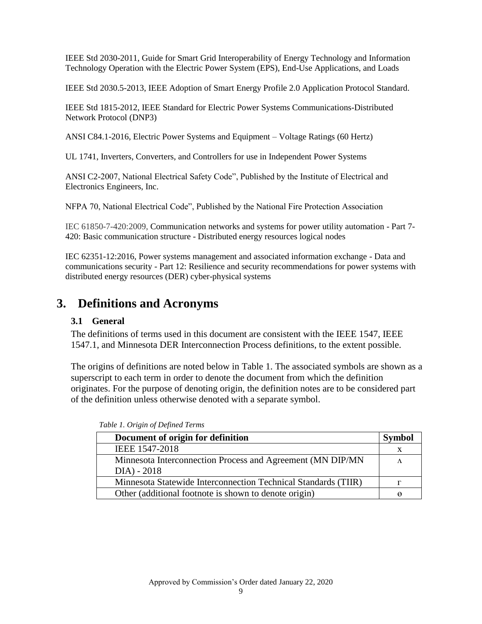IEEE Std 2030-2011, Guide for Smart Grid Interoperability of Energy Technology and Information Technology Operation with the Electric Power System (EPS), End-Use Applications, and Loads

IEEE Std 2030.5-2013, IEEE Adoption of Smart Energy Profile 2.0 Application Protocol Standard.

IEEE Std 1815-2012, IEEE Standard for Electric Power Systems Communications-Distributed Network Protocol (DNP3)

ANSI C84.1-2016, Electric Power Systems and Equipment – Voltage Ratings (60 Hertz)

UL 1741, Inverters, Converters, and Controllers for use in Independent Power Systems

ANSI C2-2007, National Electrical Safety Code", Published by the Institute of Electrical and Electronics Engineers, Inc.

NFPA 70, National Electrical Code", Published by the National Fire Protection Association

IEC 61850-7-420:2009, Communication networks and systems for power utility automation - Part 7- 420: Basic communication structure - Distributed energy resources logical nodes

IEC 62351-12:2016, Power systems management and associated information exchange - Data and communications security - Part 12: Resilience and security recommendations for power systems with distributed energy resources (DER) cyber-physical systems

### <span id="page-12-1"></span><span id="page-12-0"></span>**3. Definitions and Acronyms**

#### **3.1 General**

The definitions of terms used in this document are consistent with the IEEE 1547, IEEE 1547.1, and Minnesota DER Interconnection Process definitions, to the extent possible.

The origins of definitions are noted below in Table 1. The associated symbols are shown as a superscript to each term in order to denote the document from which the definition originates. For the purpose of denoting origin, the definition notes are to be considered part of the definition unless otherwise denoted with a separate symbol.

| Document of origin for definition                              | <b>Symbol</b> |
|----------------------------------------------------------------|---------------|
| IEEE 1547-2018                                                 | X             |
| Minnesota Interconnection Process and Agreement (MN DIP/MN)    | Λ             |
| $DIA) - 2018$                                                  |               |
| Minnesota Statewide Interconnection Technical Standards (TIIR) | г             |
| Other (additional footnote is shown to denote origin)          | $\Theta$      |

*Table 1. Origin of Defined Terms*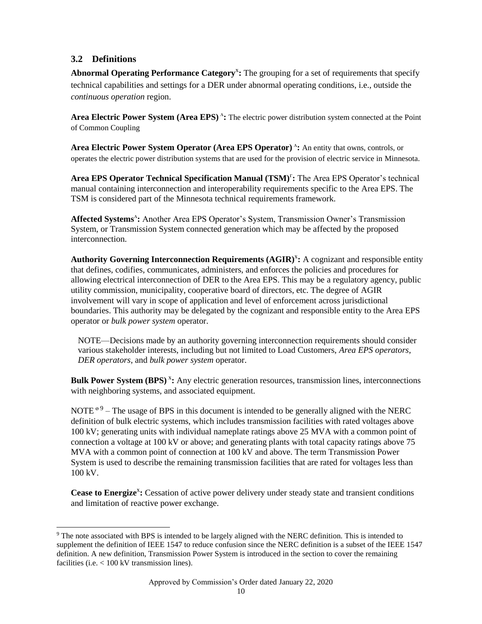#### <span id="page-13-0"></span>**3.2 Definitions**

Abnormal Operating Performance Category<sup>x</sup>: The grouping for a set of requirements that specify technical capabilities and settings for a DER under abnormal operating conditions, i.e., outside the *continuous operation* region.

Area Electric Power System (Area EPS)<sup>A</sup>: The electric power distribution system connected at the Point of Common Coupling

Area Electric Power System Operator (Area EPS Operator)<sup>A</sup>: An entity that owns, controls, or operates the electric power distribution systems that are used for the provision of electric service in Minnesota.

Area EPS Operator Technical Specification Manual (TSM)<sup>r</sup>: The Area EPS Operator's technical manual containing interconnection and interoperability requirements specific to the Area EPS. The TSM is considered part of the Minnesota technical requirements framework.

Affected Systems<sup>A</sup>: Another Area EPS Operator's System, Transmission Owner's Transmission System, or Transmission System connected generation which may be affected by the proposed interconnection.

Authority Governing Interconnection Requirements (AGIR)<sup>x</sup>: A cognizant and responsible entity that defines, codifies, communicates, administers, and enforces the policies and procedures for allowing electrical interconnection of DER to the Area EPS. This may be a regulatory agency, public utility commission, municipality, cooperative board of directors, etc. The degree of AGIR involvement will vary in scope of application and level of enforcement across jurisdictional boundaries. This authority may be delegated by the cognizant and responsible entity to the Area EPS operator or *bulk power system* operator.

NOTE—Decisions made by an authority governing interconnection requirements should consider various stakeholder interests, including but not limited to Load Customers, *Area EPS operators*, *DER operators*, and *bulk power system* operator.

**Bulk Power System (BPS)<sup>x</sup>:** Any electric generation resources, transmission lines, interconnections with neighboring systems, and associated equipment.

NOTE  $e^{9}$  – The usage of BPS in this document is intended to be generally aligned with the NERC definition of bulk electric systems, which includes transmission facilities with rated voltages above 100 kV; generating units with individual nameplate ratings above 25 MVA with a common point of connection a voltage at 100 kV or above; and generating plants with total capacity ratings above 75 MVA with a common point of connection at 100 kV and above. The term Transmission Power System is used to describe the remaining transmission facilities that are rated for voltages less than 100 kV.

**Cease to Energize<sup>x</sup>:** Cessation of active power delivery under steady state and transient conditions and limitation of reactive power exchange.

<sup>9</sup> The note associated with BPS is intended to be largely aligned with the NERC definition. This is intended to supplement the definition of IEEE 1547 to reduce confusion since the NERC definition is a subset of the IEEE 1547 definition. A new definition, Transmission Power System is introduced in the section to cover the remaining facilities (i.e. < 100 kV transmission lines).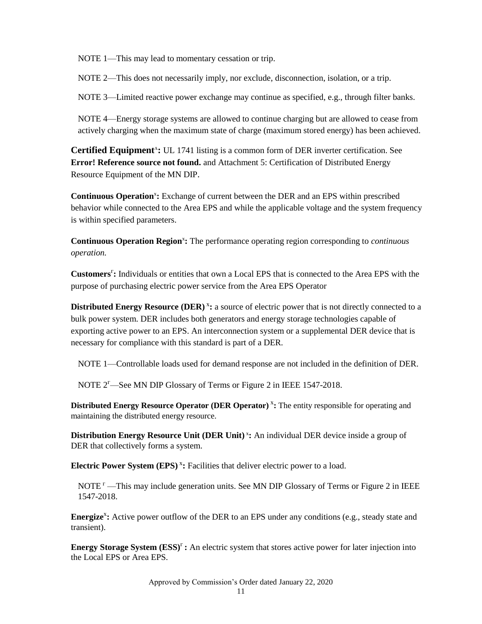NOTE 1—This may lead to momentary cessation or trip.

NOTE 2—This does not necessarily imply, nor exclude, disconnection, isolation, or a trip.

NOTE 3—Limited reactive power exchange may continue as specified, e.g., through filter banks.

NOTE 4—Energy storage systems are allowed to continue charging but are allowed to cease from actively charging when the maximum state of charge (maximum stored energy) has been achieved.

Certified Equipment<sup>^</sup>: UL 1741 listing is a common form of DER inverter certification. See **Error! Reference source not found.** and Attachment 5: Certification of Distributed Energy Resource Equipment of the MN DIP.

Continuous Operation<sup>x</sup>: Exchange of current between the DER and an EPS within prescribed behavior while connected to the Area EPS and while the applicable voltage and the system frequency is within specified parameters.

**Continuous Operation Region**<sup>x</sup> **:** The performance operating region corresponding to *continuous operation.*

**Customers**<sup>ᴦ</sup> **:** Individuals or entities that own a Local EPS that is connected to the Area EPS with the purpose of purchasing electric power service from the Area EPS Operator

**Distributed Energy Resource (DER)<sup>x</sup>**: a source of electric power that is not directly connected to a bulk power system. DER includes both generators and energy storage technologies capable of exporting active power to an EPS. An interconnection system or a supplemental DER device that is necessary for compliance with this standard is part of a DER.

NOTE 1—Controllable loads used for demand response are not included in the definition of DER.

NOTE 2<sup>r</sup>—See MN DIP Glossary of Terms or Figure 2 in IEEE 1547-2018.

**Distributed Energy Resource Operator (DER Operator)<sup>x</sup>:** The entity responsible for operating and maintaining the distributed energy resource.

Distribution Energy Resource Unit (DER Unit)<sup>x</sup>: An individual DER device inside a group of DER that collectively forms a system.

Electric Power System (EPS)<sup>x</sup>: Facilities that deliver electric power to a load.

NOTE  $\Gamma$  —This may include generation units. See MN DIP Glossary of Terms or Figure 2 in IEEE 1547-2018.

**Energize<sup>x</sup>:** Active power outflow of the DER to an EPS under any conditions (e.g., steady state and transient).

**Energy Storage System (ESS)<sup>r</sup>**: An electric system that stores active power for later injection into the Local EPS or Area EPS.

Approved by Commission's Order dated January 22, 2020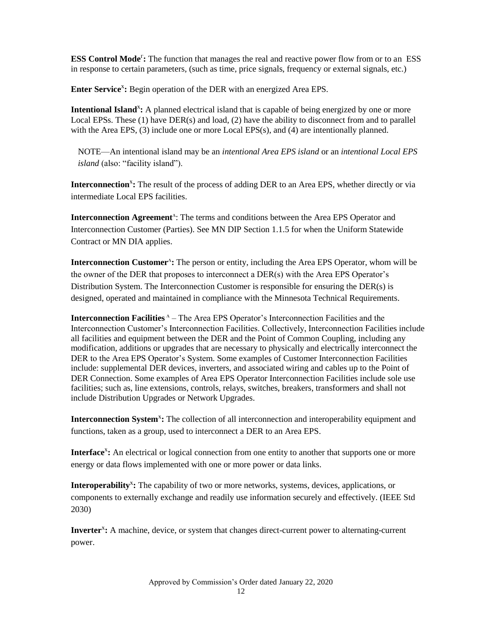**ESS Control Mode<sup>r</sup>:** The function that manages the real and reactive power flow from or to an ESS in response to certain parameters, (such as time, price signals, frequency or external signals, etc.)

**Enter Service<sup>x</sup>**: Begin operation of the DER with an energized Area EPS.

**Intentional Island<sup>x</sup>**: A planned electrical island that is capable of being energized by one or more Local EPSs. These (1) have DER(s) and load, (2) have the ability to disconnect from and to parallel with the Area EPS, (3) include one or more Local EPS(s), and (4) are intentionally planned.

NOTE—An intentional island may be an *intentional Area EPS island* or an *intentional Local EPS island* (also: "facility island").

Interconnection<sup>x</sup>: The result of the process of adding DER to an Area EPS, whether directly or via intermediate Local EPS facilities.

Interconnection Agreement<sup>A</sup>: The terms and conditions between the Area EPS Operator and Interconnection Customer (Parties). See MN DIP Section 1.1.5 for when the Uniform Statewide Contract or MN DIA applies.

**Interconnection Customer<sup>^</sup>:** The person or entity, including the Area EPS Operator, whom will be the owner of the DER that proposes to interconnect a DER(s) with the Area EPS Operator's Distribution System. The Interconnection Customer is responsible for ensuring the DER(s) is designed, operated and maintained in compliance with the Minnesota Technical Requirements.

**Interconnection Facilities**<sup>A</sup> – The Area EPS Operator's Interconnection Facilities and the Interconnection Customer's Interconnection Facilities. Collectively, Interconnection Facilities include all facilities and equipment between the DER and the Point of Common Coupling, including any modification, additions or upgrades that are necessary to physically and electrically interconnect the DER to the Area EPS Operator's System. Some examples of Customer Interconnection Facilities include: supplemental DER devices, inverters, and associated wiring and cables up to the Point of DER Connection. Some examples of Area EPS Operator Interconnection Facilities include sole use facilities; such as, line extensions, controls, relays, switches, breakers, transformers and shall not include Distribution Upgrades or Network Upgrades.

**Interconnection System<sup>x</sup>:** The collection of all interconnection and interoperability equipment and functions, taken as a group, used to interconnect a DER to an Area EPS.

**Interface**<sup>x</sup>: An electrical or logical connection from one entity to another that supports one or more energy or data flows implemented with one or more power or data links.

**Interoperability<sup>x</sup>:** The capability of two or more networks, systems, devices, applications, or components to externally exchange and readily use information securely and effectively. (IEEE Std 2030)

Inverter<sup>x</sup>: A machine, device, or system that changes direct-current power to alternating-current power.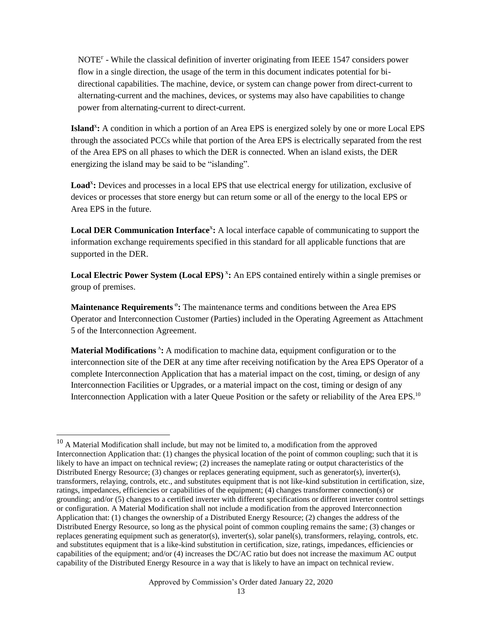NOTE<sup>r</sup> - While the classical definition of inverter originating from IEEE 1547 considers power flow in a single direction, the usage of the term in this document indicates potential for bidirectional capabilities. The machine, device, or system can change power from direct-current to alternating-current and the machines, devices, or systems may also have capabilities to change power from alternating-current to direct-current.

Island<sup>x</sup>: A condition in which a portion of an Area EPS is energized solely by one or more Local EPS through the associated PCCs while that portion of the Area EPS is electrically separated from the rest of the Area EPS on all phases to which the DER is connected. When an island exists, the DER energizing the island may be said to be "islanding".

Load<sup>x</sup>: Devices and processes in a local EPS that use electrical energy for utilization, exclusive of devices or processes that store energy but can return some or all of the energy to the local EPS or Area EPS in the future.

**Local DER Communication Interface<sup>x</sup>:** A local interface capable of communicating to support the information exchange requirements specified in this standard for all applicable functions that are supported in the DER.

Local Electric Power System (Local EPS)<sup>x</sup>: An EPS contained entirely within a single premises or group of premises.

**Maintenance Requirements** <sup>e</sup>: The maintenance terms and conditions between the Area EPS Operator and Interconnection Customer (Parties) included in the Operating Agreement as Attachment 5 of the Interconnection Agreement.

**Material Modifications**<sup>1</sup>: A modification to machine data, equipment configuration or to the interconnection site of the DER at any time after receiving notification by the Area EPS Operator of a complete Interconnection Application that has a material impact on the cost, timing, or design of any Interconnection Facilities or Upgrades, or a material impact on the cost, timing or design of any Interconnection Application with a later Queue Position or the safety or reliability of the Area EPS.<sup>10</sup>

 $10$  A Material Modification shall include, but may not be limited to, a modification from the approved Interconnection Application that: (1) changes the physical location of the point of common coupling; such that it is likely to have an impact on technical review; (2) increases the nameplate rating or output characteristics of the Distributed Energy Resource; (3) changes or replaces generating equipment, such as generator(s), inverter(s), transformers, relaying, controls, etc., and substitutes equipment that is not like-kind substitution in certification, size, ratings, impedances, efficiencies or capabilities of the equipment; (4) changes transformer connection(s) or grounding; and/or (5) changes to a certified inverter with different specifications or different inverter control settings or configuration. A Material Modification shall not include a modification from the approved Interconnection Application that: (1) changes the ownership of a Distributed Energy Resource; (2) changes the address of the Distributed Energy Resource, so long as the physical point of common coupling remains the same; (3) changes or replaces generating equipment such as generator(s), inverter(s), solar panel(s), transformers, relaying, controls, etc. and substitutes equipment that is a like-kind substitution in certification, size, ratings, impedances, efficiencies or capabilities of the equipment; and/or (4) increases the DC/AC ratio but does not increase the maximum AC output capability of the Distributed Energy Resource in a way that is likely to have an impact on technical review.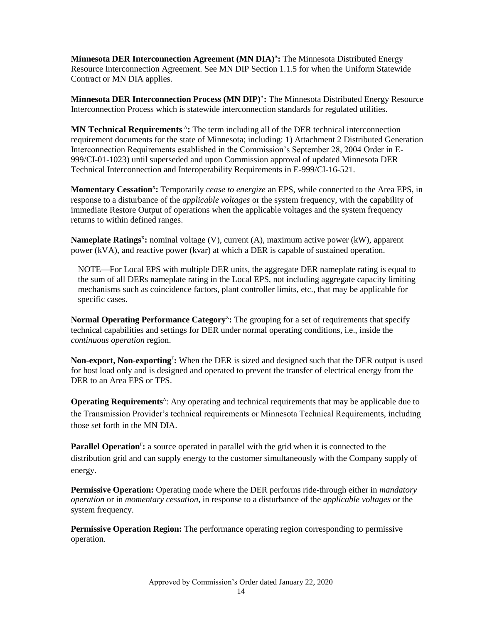**Minnesota DER Interconnection Agreement (MN DIA)<sup>^</sup>: The Minnesota Distributed Energy** Resource Interconnection Agreement. See MN DIP Section 1.1.5 for when the Uniform Statewide Contract or MN DIA applies.

Minnesota DER Interconnection Process (MN DIP)<sup>A</sup>: The Minnesota Distributed Energy Resource Interconnection Process which is statewide interconnection standards for regulated utilities.

**MN Technical Requirements**<sup>A</sup>: The term including all of the DER technical interconnection requirement documents for the state of Minnesota; including: 1) Attachment 2 Distributed Generation Interconnection Requirements established in the Commission's September 28, 2004 Order in E-999/CI-01-1023) until superseded and upon Commission approval of updated Minnesota DER Technical Interconnection and Interoperability Requirements in E-999/CI-16-521.

**Momentary Cessation<sup>x</sup>:** Temporarily *cease to energize* an EPS, while connected to the Area EPS, in response to a disturbance of the *applicable voltages* or the system frequency, with the capability of immediate Restore Output of operations when the applicable voltages and the system frequency returns to within defined ranges.

**Nameplate Ratings<sup>x</sup>:** nominal voltage (V), current (A), maximum active power (kW), apparent power (kVA), and reactive power (kvar) at which a DER is capable of sustained operation.

NOTE—For Local EPS with multiple DER units, the aggregate DER nameplate rating is equal to the sum of all DERs nameplate rating in the Local EPS, not including aggregate capacity limiting mechanisms such as coincidence factors, plant controller limits, etc., that may be applicable for specific cases.

Normal Operating Performance Category<sup>x</sup>: The grouping for a set of requirements that specify technical capabilities and settings for DER under normal operating conditions, i.e., inside the *continuous operation* region.

Non-export, Non-exporting<sup>r</sup>: When the DER is sized and designed such that the DER output is used for host load only and is designed and operated to prevent the transfer of electrical energy from the DER to an Area EPS or TPS.

**Operating Requirements**<sup>A</sup>: Any operating and technical requirements that may be applicable due to the Transmission Provider's technical requirements or Minnesota Technical Requirements, including those set forth in the MN DIA.

**Parallel Operation<sup>†</sup>:** a source operated in parallel with the grid when it is connected to the distribution grid and can supply energy to the customer simultaneously with the Company supply of energy.

**Permissive Operation:** Operating mode where the DER performs ride-through either in *mandatory operation* or in *momentary cessation*, in response to a disturbance of the *applicable voltages* or the system frequency.

**Permissive Operation Region:** The performance operating region corresponding to permissive operation.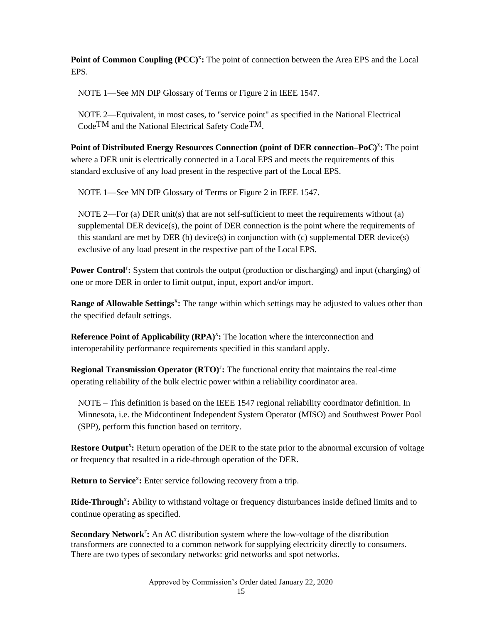Point of Common Coupling (PCC)<sup>x</sup>: The point of connection between the Area EPS and the Local EPS.

NOTE 1—See MN DIP Glossary of Terms or Figure 2 in IEEE 1547.

NOTE 2—Equivalent, in most cases, to "service point" as specified in the National Electrical CodeTM and the National Electrical Safety CodeTM.

**Point of Distributed Energy Resources Connection (point of DER connection–PoC)<sup>x</sup>: The point** where a DER unit is electrically connected in a Local EPS and meets the requirements of this standard exclusive of any load present in the respective part of the Local EPS.

NOTE 1—See MN DIP Glossary of Terms or Figure 2 in IEEE 1547.

NOTE 2—For (a) DER unit(s) that are not self-sufficient to meet the requirements without (a) supplemental DER device(s), the point of DER connection is the point where the requirements of this standard are met by DER (b) device(s) in conjunction with (c) supplemental DER device(s) exclusive of any load present in the respective part of the Local EPS.

**Power Control<sup>r</sup>:** System that controls the output (production or discharging) and input (charging) of one or more DER in order to limit output, input, export and/or import.

**Range of Allowable Settings<sup>x</sup>:** The range within which settings may be adjusted to values other than the specified default settings.

Reference Point of Applicability (RPA)<sup>x</sup>: The location where the interconnection and interoperability performance requirements specified in this standard apply.

**Regional Transmission Operator (RTO)<sup>r</sup>:** The functional entity that maintains the real-time operating reliability of the bulk electric power within a reliability coordinator area.

NOTE – This definition is based on the IEEE 1547 regional reliability coordinator definition. In Minnesota, i.e. the Midcontinent Independent System Operator (MISO) and Southwest Power Pool (SPP), perform this function based on territory.

**Restore Output<sup>x</sup>:** Return operation of the DER to the state prior to the abnormal excursion of voltage or frequency that resulted in a ride-through operation of the DER.

**Return to Service<sup>x</sup>**: Enter service following recovery from a trip.

Ride-Through<sup>x</sup>: Ability to withstand voltage or frequency disturbances inside defined limits and to continue operating as specified.

**Secondary Network<sup>T</sup>:** An AC distribution system where the low-voltage of the distribution transformers are connected to a common network for supplying electricity directly to consumers. There are two types of secondary networks: grid networks and spot networks.

Approved by Commission's Order dated January 22, 2020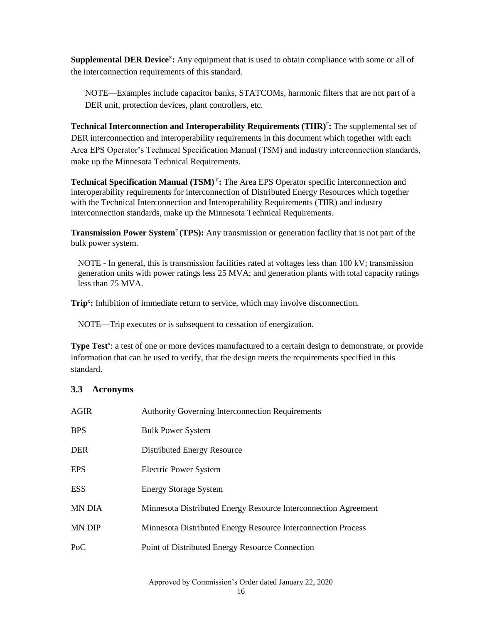**Supplemental DER Device<sup>x</sup>:** Any equipment that is used to obtain compliance with some or all of the interconnection requirements of this standard.

NOTE—Examples include capacitor banks, STATCOMs, harmonic filters that are not part of a DER unit, protection devices, plant controllers, etc.

**Technical Interconnection and Interoperability Requirements (TIIR)<sup>r</sup>: The supplemental set of** DER interconnection and interoperability requirements in this document which together with each Area EPS Operator's Technical Specification Manual (TSM) and industry interconnection standards, make up the Minnesota Technical Requirements.

**Technical Specification Manual (TSM)<sup>T</sup>:** The Area EPS Operator specific interconnection and interoperability requirements for interconnection of Distributed Energy Resources which together with the Technical Interconnection and Interoperability Requirements (TIIR) and industry interconnection standards, make up the Minnesota Technical Requirements.

**Transmission Power System<sup>r</sup> (TPS):** Any transmission or generation facility that is not part of the bulk power system.

NOTE - In general, this is transmission facilities rated at voltages less than 100 kV; transmission generation units with power ratings less 25 MVA; and generation plants with total capacity ratings less than 75 MVA.

Trip<sup>x</sup>: Inhibition of immediate return to service, which may involve disconnection.

NOTE—Trip executes or is subsequent to cessation of energization.

Type Test<sup>x</sup>: a test of one or more devices manufactured to a certain design to demonstrate, or provide information that can be used to verify, that the design meets the requirements specified in this standard.

#### <span id="page-19-0"></span>**3.3 Acronyms**

| <b>AGIR</b>   | <b>Authority Governing Interconnection Requirements</b>         |
|---------------|-----------------------------------------------------------------|
| <b>BPS</b>    | <b>Bulk Power System</b>                                        |
| <b>DER</b>    | <b>Distributed Energy Resource</b>                              |
| <b>EPS</b>    | Electric Power System                                           |
| <b>ESS</b>    | <b>Energy Storage System</b>                                    |
| <b>MN DIA</b> | Minnesota Distributed Energy Resource Interconnection Agreement |
| <b>MN DIP</b> | Minnesota Distributed Energy Resource Interconnection Process   |
| PoC           | Point of Distributed Energy Resource Connection                 |

Approved by Commission's Order dated January 22, 2020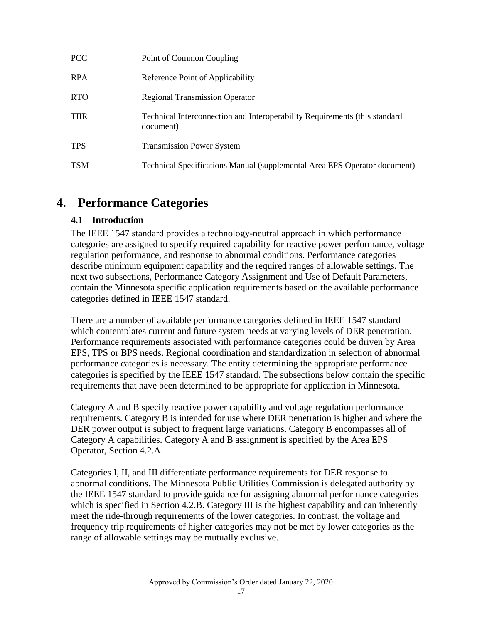| <b>PCC</b>  | Point of Common Coupling                                                                |
|-------------|-----------------------------------------------------------------------------------------|
| <b>RPA</b>  | Reference Point of Applicability                                                        |
| <b>RTO</b>  | <b>Regional Transmission Operator</b>                                                   |
| <b>TIIR</b> | Technical Interconnection and Interoperability Requirements (this standard<br>document) |
| <b>TPS</b>  | <b>Transmission Power System</b>                                                        |
| <b>TSM</b>  | Technical Specifications Manual (supplemental Area EPS Operator document)               |

## <span id="page-20-1"></span><span id="page-20-0"></span>**4. Performance Categories**

#### **4.1 Introduction**

The IEEE 1547 standard provides a technology-neutral approach in which performance categories are assigned to specify required capability for reactive power performance, voltage regulation performance, and response to abnormal conditions. Performance categories describe minimum equipment capability and the required ranges of allowable settings. The next two subsections, Performance Category Assignment and Use of Default Parameters, contain the Minnesota specific application requirements based on the available performance categories defined in IEEE 1547 standard.

There are a number of available performance categories defined in IEEE 1547 standard which contemplates current and future system needs at varying levels of DER penetration. Performance requirements associated with performance categories could be driven by Area EPS, TPS or BPS needs. Regional coordination and standardization in selection of abnormal performance categories is necessary. The entity determining the appropriate performance categories is specified by the IEEE 1547 standard. The subsections below contain the specific requirements that have been determined to be appropriate for application in Minnesota.

Category A and B specify reactive power capability and voltage regulation performance requirements. Category B is intended for use where DER penetration is higher and where the DER power output is subject to frequent large variations. Category B encompasses all of Category A capabilities. Category A and B assignment is specified by the Area EPS Operator, Section [4.2.](#page-21-0)A.

Categories I, II, and III differentiate performance requirements for DER response to abnormal conditions. The Minnesota Public Utilities Commission is delegated authority by the IEEE 1547 standard to provide guidance for assigning abnormal performance categories which is specified in Section [4.2.](#page-21-0)B. Category III is the highest capability and can inherently meet the ride-through requirements of the lower categories. In contrast, the voltage and frequency trip requirements of higher categories may not be met by lower categories as the range of allowable settings may be mutually exclusive.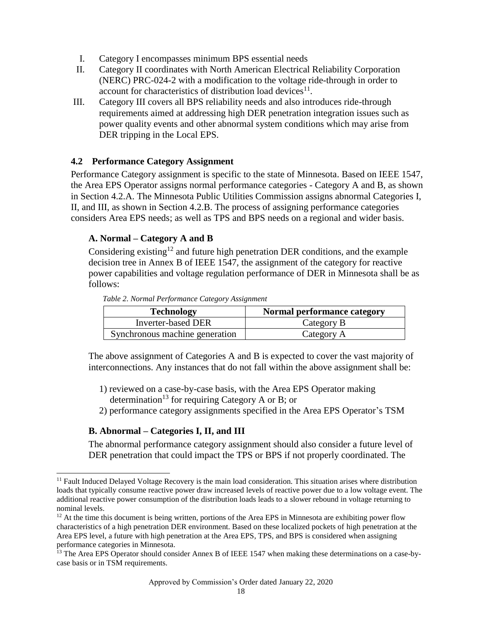- I. Category I encompasses minimum BPS essential needs
- II. Category II coordinates with North American Electrical Reliability Corporation (NERC) PRC-024-2 with a modification to the voltage ride-through in order to account for characteristics of distribution load devices $^{11}$ .
- III. Category III covers all BPS reliability needs and also introduces ride-through requirements aimed at addressing high DER penetration integration issues such as power quality events and other abnormal system conditions which may arise from DER tripping in the Local EPS.

#### <span id="page-21-0"></span>**4.2 Performance Category Assignment**

Performance Category assignment is specific to the state of Minnesota. Based on IEEE 1547, the Area EPS Operator assigns normal performance categories - Category A and B, as shown in Section [4.2.](#page-21-0)A. The Minnesota Public Utilities Commission assigns abnormal Categories I, II, and III, as shown in Section [4.2.](#page-21-0)B. The process of assigning performance categories considers Area EPS needs; as well as TPS and BPS needs on a regional and wider basis.

#### <span id="page-21-1"></span>**A. Normal – Category A and B**

Considering existing<sup>12</sup> and future high penetration DER conditions, and the example decision tree in Annex B of IEEE 1547, the assignment of the category for reactive power capabilities and voltage regulation performance of DER in Minnesota shall be as follows:

|                           | <b>Technology</b>              | Normal performance category |
|---------------------------|--------------------------------|-----------------------------|
| <b>Inverter-based DER</b> | Category B                     |                             |
|                           | Synchronous machine generation | Category A                  |

*Table 2. Normal Performance Category Assignment*

The above assignment of Categories A and B is expected to cover the vast majority of interconnections. Any instances that do not fall within the above assignment shall be:

- 1) reviewed on a case-by-case basis, with the Area EPS Operator making determination<sup>13</sup> for requiring Category A or B; or
- 2) performance category assignments specified in the Area EPS Operator's TSM

#### <span id="page-21-2"></span>**B. Abnormal – Categories I, II, and III**

 $\overline{a}$ 

The abnormal performance category assignment should also consider a future level of DER penetration that could impact the TPS or BPS if not properly coordinated. The

<sup>&</sup>lt;sup>11</sup> Fault Induced Delayed Voltage Recovery is the main load consideration. This situation arises where distribution loads that typically consume reactive power draw increased levels of reactive power due to a low voltage event. The additional reactive power consumption of the distribution loads leads to a slower rebound in voltage returning to nominal levels.

 $12$  At the time this document is being written, portions of the Area EPS in Minnesota are exhibiting power flow characteristics of a high penetration DER environment. Based on these localized pockets of high penetration at the Area EPS level, a future with high penetration at the Area EPS, TPS, and BPS is considered when assigning performance categories in Minnesota.

<sup>&</sup>lt;sup>13</sup> The Area EPS Operator should consider Annex B of IEEE 1547 when making these determinations on a case-bycase basis or in TSM requirements.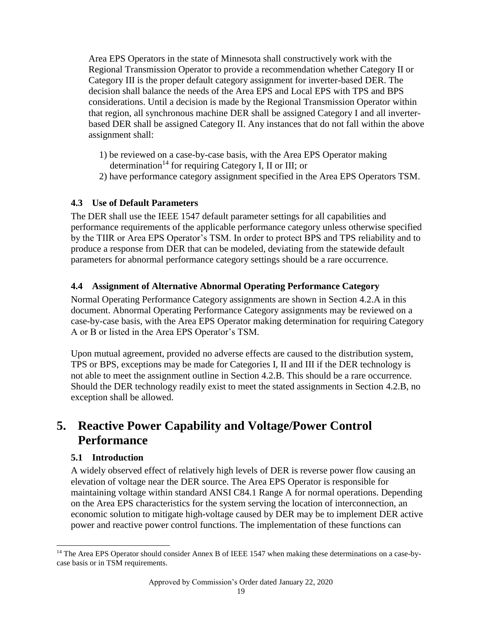Area EPS Operators in the state of Minnesota shall constructively work with the Regional Transmission Operator to provide a recommendation whether Category II or Category III is the proper default category assignment for inverter-based DER. The decision shall balance the needs of the Area EPS and Local EPS with TPS and BPS considerations. Until a decision is made by the Regional Transmission Operator within that region, all synchronous machine DER shall be assigned Category I and all inverterbased DER shall be assigned Category II. Any instances that do not fall within the above assignment shall:

- 1) be reviewed on a case-by-case basis, with the Area EPS Operator making determination<sup>14</sup> for requiring Category I, II or III; or
- 2) have performance category assignment specified in the Area EPS Operators TSM.

#### <span id="page-22-0"></span>**4.3 Use of Default Parameters**

The DER shall use the IEEE 1547 default parameter settings for all capabilities and performance requirements of the applicable performance category unless otherwise specified by the TIIR or Area EPS Operator's TSM. In order to protect BPS and TPS reliability and to produce a response from DER that can be modeled, deviating from the statewide default parameters for abnormal performance category settings should be a rare occurrence.

#### <span id="page-22-1"></span>**4.4 Assignment of Alternative Abnormal Operating Performance Category**

Normal Operating Performance Category assignments are shown in Section [4.2.](#page-21-0)A in this document. Abnormal Operating Performance Category assignments may be reviewed on a case-by-case basis, with the Area EPS Operator making determination for requiring Category A or B or listed in the Area EPS Operator's TSM.

Upon mutual agreement, provided no adverse effects are caused to the distribution system, TPS or BPS, exceptions may be made for Categories I, II and III if the DER technology is not able to meet the assignment outline in Section [4.2.](#page-21-0)B. This should be a rare occurrence. Should the DER technology readily exist to meet the stated assignments in Section [4.2.](#page-21-0)B, no exception shall be allowed.

## <span id="page-22-2"></span>**5. Reactive Power Capability and Voltage/Power Control Performance**

#### <span id="page-22-3"></span>**5.1 Introduction**

A widely observed effect of relatively high levels of DER is reverse power flow causing an elevation of voltage near the DER source. The Area EPS Operator is responsible for maintaining voltage within standard ANSI C84.1 Range A for normal operations. Depending on the Area EPS characteristics for the system serving the location of interconnection, an economic solution to mitigate high-voltage caused by DER may be to implement DER active power and reactive power control functions. The implementation of these functions can

<sup>&</sup>lt;sup>14</sup> The Area EPS Operator should consider Annex B of IEEE 1547 when making these determinations on a case-bycase basis or in TSM requirements.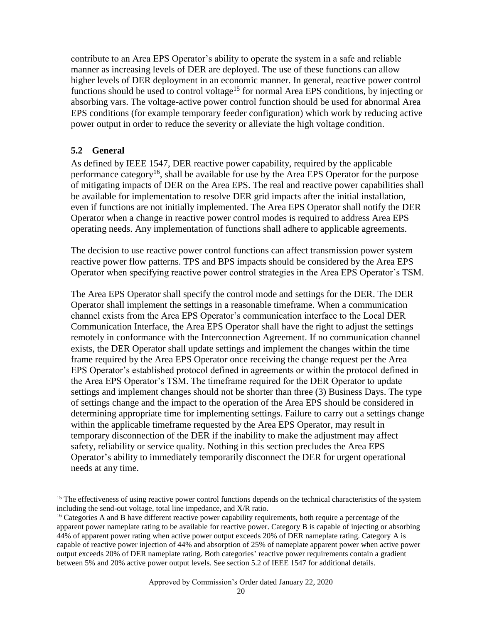contribute to an Area EPS Operator's ability to operate the system in a safe and reliable manner as increasing levels of DER are deployed. The use of these functions can allow higher levels of DER deployment in an economic manner. In general, reactive power control functions should be used to control voltage<sup>15</sup> for normal Area EPS conditions, by injecting or absorbing vars. The voltage-active power control function should be used for abnormal Area EPS conditions (for example temporary feeder configuration) which work by reducing active power output in order to reduce the severity or alleviate the high voltage condition.

#### <span id="page-23-0"></span>**5.2 General**

 $\overline{a}$ 

As defined by IEEE 1547, DER reactive power capability, required by the applicable performance category<sup>16</sup>, shall be available for use by the Area EPS Operator for the purpose of mitigating impacts of DER on the Area EPS. The real and reactive power capabilities shall be available for implementation to resolve DER grid impacts after the initial installation, even if functions are not initially implemented. The Area EPS Operator shall notify the DER Operator when a change in reactive power control modes is required to address Area EPS operating needs. Any implementation of functions shall adhere to applicable agreements.

The decision to use reactive power control functions can affect transmission power system reactive power flow patterns. TPS and BPS impacts should be considered by the Area EPS Operator when specifying reactive power control strategies in the Area EPS Operator's TSM.

The Area EPS Operator shall specify the control mode and settings for the DER. The DER Operator shall implement the settings in a reasonable timeframe. When a communication channel exists from the Area EPS Operator's communication interface to the Local DER Communication Interface, the Area EPS Operator shall have the right to adjust the settings remotely in conformance with the Interconnection Agreement. If no communication channel exists, the DER Operator shall update settings and implement the changes within the time frame required by the Area EPS Operator once receiving the change request per the Area EPS Operator's established protocol defined in agreements or within the protocol defined in the Area EPS Operator's TSM. The timeframe required for the DER Operator to update settings and implement changes should not be shorter than three (3) Business Days. The type of settings change and the impact to the operation of the Area EPS should be considered in determining appropriate time for implementing settings. Failure to carry out a settings change within the applicable timeframe requested by the Area EPS Operator, may result in temporary disconnection of the DER if the inability to make the adjustment may affect safety, reliability or service quality. Nothing in this section precludes the Area EPS Operator's ability to immediately temporarily disconnect the DER for urgent operational needs at any time.

<sup>&</sup>lt;sup>15</sup> The effectiveness of using reactive power control functions depends on the technical characteristics of the system including the send-out voltage, total line impedance, and X/R ratio.

<sup>&</sup>lt;sup>16</sup> Categories A and B have different reactive power capability requirements, both require a percentage of the apparent power nameplate rating to be available for reactive power. Category B is capable of injecting or absorbing 44% of apparent power rating when active power output exceeds 20% of DER nameplate rating. Category A is capable of reactive power injection of 44% and absorption of 25% of nameplate apparent power when active power output exceeds 20% of DER nameplate rating. Both categories' reactive power requirements contain a gradient between 5% and 20% active power output levels. See section 5.2 of IEEE 1547 for additional details.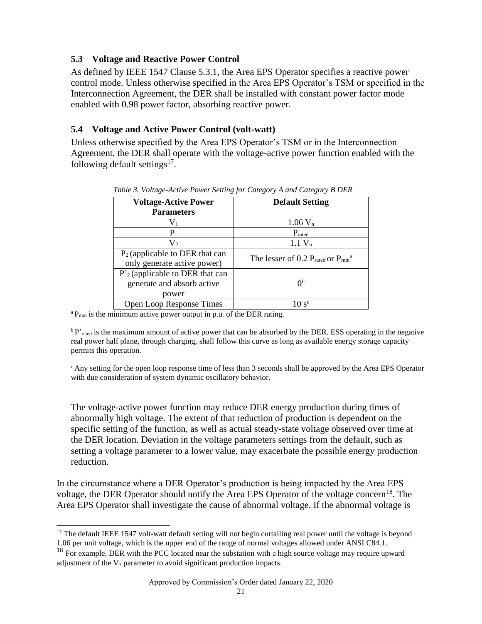#### <span id="page-24-0"></span>**5.3 Voltage and Reactive Power Control**

As defined by IEEE 1547 Clause 5.3.1, the Area EPS Operator specifies a reactive power control mode. Unless otherwise specified in the Area EPS Operator's TSM or specified in the Interconnection Agreement, the DER shall be installed with constant power factor mode enabled with 0.98 power factor, absorbing reactive power.

#### <span id="page-24-1"></span>**5.4 Voltage and Active Power Control (volt-watt)**

Unless otherwise specified by the Area EPS Operator's TSM or in the Interconnection Agreement, the DER shall operate with the voltage-active power function enabled with the following default settings<sup>17</sup>.

| <b>Voltage-Active Power</b>          | <b>Default Setting</b>                                     |
|--------------------------------------|------------------------------------------------------------|
| <b>Parameters</b>                    |                                                            |
| $\mathsf{V}_1$                       | $1.06 V_n$                                                 |
| $P_1$                                | $P_{\text{rated}}$                                         |
| $\mathrm{V}_2$                       | $1.1 V_n$                                                  |
| $P_2$ (applicable to DER that can    | The lesser of 0.2 $P_{\text{rated}}$ or $P_{\text{min}}^a$ |
| only generate active power)          |                                                            |
| $P'_{2}$ (applicable to DER that can |                                                            |
| generate and absorb active           | Ωp                                                         |
| power                                |                                                            |
| Open Loop Response Times             | 10 $s^c$                                                   |

*Table 3. Voltage-Active Power Setting for Category A and Category B DER*

 ${}^{\text{a}}\mathbf{P}_{\text{min}}$  is the minimum active power output in p.u. of the DER rating.

 $b_{\rm P}$ <sup>b</sup><sub>rated</sub> is the maximum amount of active power that can be absorbed by the DER. ESS operating in the negative real power half plane, through charging, shall follow this curve as long as available energy storage capacity permits this operation.

 $c$  Any setting for the open loop response time of less than 3 seconds shall be approved by the Area EPS Operator with due consideration of system dynamic oscillatory behavior.

The voltage-active power function may reduce DER energy production during times of abnormally high voltage. The extent of that reduction of production is dependent on the specific setting of the function, as well as actual steady-state voltage observed over time at the DER location. Deviation in the voltage parameters settings from the default, such as setting a voltage parameter to a lower value, may exacerbate the possible energy production reduction.

In the circumstance where a DER Operator's production is being impacted by the Area EPS voltage, the DER Operator should notify the Area EPS Operator of the voltage concern<sup>18</sup>. The Area EPS Operator shall investigate the cause of abnormal voltage. If the abnormal voltage is

 $\overline{a}$ <sup>17</sup> The default IEEE 1547 volt-watt default setting will not begin curtailing real power until the voltage is beyond 1.06 per unit voltage, which is the upper end of the range of normal voltages allowed under ANSI C84.1.

 $18$  For example, DER with the PCC located near the substation with a high source voltage may require upward adjustment of the  $V_1$  parameter to avoid significant production impacts.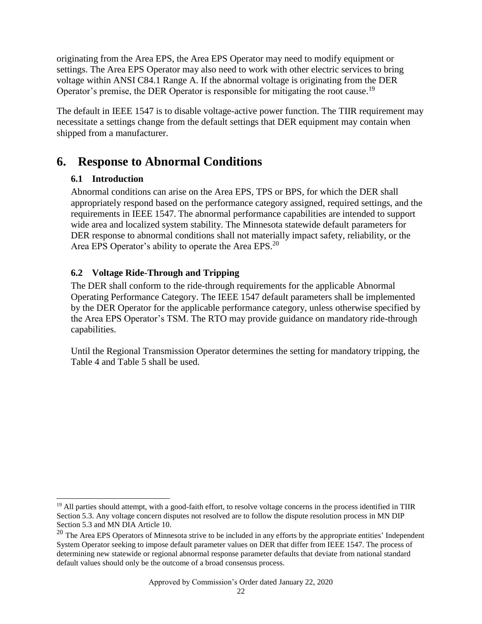originating from the Area EPS, the Area EPS Operator may need to modify equipment or settings. The Area EPS Operator may also need to work with other electric services to bring voltage within ANSI C84.1 Range A. If the abnormal voltage is originating from the DER Operator's premise, the DER Operator is responsible for mitigating the root cause.<sup>19</sup>

The default in IEEE 1547 is to disable voltage-active power function. The TIIR requirement may necessitate a settings change from the default settings that DER equipment may contain when shipped from a manufacturer.

## <span id="page-25-0"></span>**6. Response to Abnormal Conditions**

#### <span id="page-25-1"></span>**6.1 Introduction**

 $\overline{a}$ 

Abnormal conditions can arise on the Area EPS, TPS or BPS, for which the DER shall appropriately respond based on the performance category assigned, required settings, and the requirements in IEEE 1547. The abnormal performance capabilities are intended to support wide area and localized system stability. The Minnesota statewide default parameters for DER response to abnormal conditions shall not materially impact safety, reliability, or the Area EPS Operator's ability to operate the Area EPS.<sup>20</sup>

#### <span id="page-25-2"></span>**6.2 Voltage Ride-Through and Tripping**

The DER shall conform to the ride-through requirements for the applicable Abnormal Operating Performance Category. The IEEE 1547 default parameters shall be implemented by the DER Operator for the applicable performance category, unless otherwise specified by the Area EPS Operator's TSM. The RTO may provide guidance on mandatory ride-through capabilities.

Until the Regional Transmission Operator determines the setting for mandatory tripping, the Table 4 and Table 5 shall be used.

<sup>&</sup>lt;sup>19</sup> All parties should attempt, with a good-faith effort, to resolve voltage concerns in the process identified in TIIR Section 5.3. Any voltage concern disputes not resolved are to follow the dispute resolution process in MN DIP Section 5.3 and MN DIA Article 10.

<sup>&</sup>lt;sup>20</sup> The Area EPS Operators of Minnesota strive to be included in any efforts by the appropriate entities' Independent System Operator seeking to impose default parameter values on DER that differ from IEEE 1547. The process of determining new statewide or regional abnormal response parameter defaults that deviate from national standard default values should only be the outcome of a broad consensus process.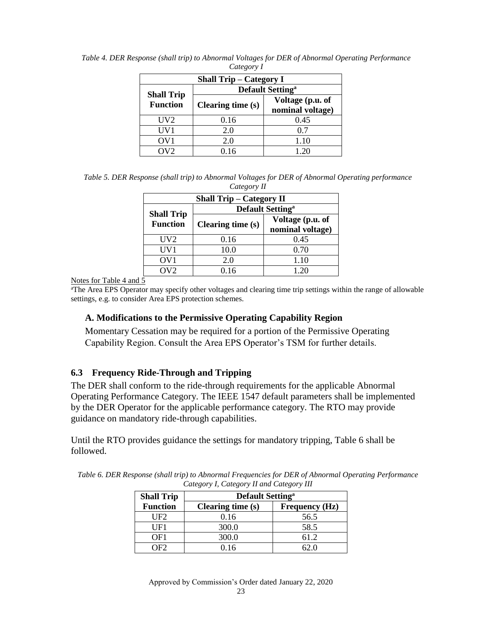| <b>Shall Trip – Category I</b>       |                                     |                  |
|--------------------------------------|-------------------------------------|------------------|
|                                      | <b>Default Setting</b> <sup>a</sup> |                  |
| <b>Shall Trip</b><br><b>Function</b> | Clearing time $(s)$                 | Voltage (p.u. of |
|                                      |                                     | nominal voltage) |
| UV2                                  | 0.16                                | 0.45             |
| UV1                                  | 2.0                                 | 0.7              |
| OV 1                                 | 2.0                                 | 1.10             |
| V2                                   | 0.16                                | 1.20             |
|                                      |                                     |                  |

| Table 4. DER Response (shall trip) to Abnormal Voltages for DER of Abnormal Operating Performance |
|---------------------------------------------------------------------------------------------------|
| Category I                                                                                        |

| Table 5. DER Response (shall trip) to Abnormal Voltages for DER of Abnormal Operating performance |
|---------------------------------------------------------------------------------------------------|
| Category II                                                                                       |

| $\sim$ $\sim$ $\sim$ $\sim$ $\sim$ $\sim$ |                                     |                                      |  |
|-------------------------------------------|-------------------------------------|--------------------------------------|--|
| <b>Shall Trip - Category II</b>           |                                     |                                      |  |
|                                           | <b>Default Setting</b> <sup>a</sup> |                                      |  |
| <b>Shall Trip</b><br><b>Function</b>      | Clearing time (s)                   | Voltage (p.u. of<br>nominal voltage) |  |
| UV2                                       | 0.16                                | 0.45                                 |  |
| UV1                                       | 10.0                                | 0.70                                 |  |
| OV 1                                      | 2.0                                 | 1.10                                 |  |
| W2.                                       | 0.16                                | 1.20                                 |  |

Notes for Table 4 and 5

<sup>a</sup>The Area EPS Operator may specify other voltages and clearing time trip settings within the range of allowable settings, e.g. to consider Area EPS protection schemes.

#### <span id="page-26-0"></span>**A. Modifications to the Permissive Operating Capability Region**

Momentary Cessation may be required for a portion of the Permissive Operating Capability Region. Consult the Area EPS Operator's TSM for further details.

#### <span id="page-26-1"></span>**6.3 Frequency Ride-Through and Tripping**

The DER shall conform to the ride-through requirements for the applicable Abnormal Operating Performance Category. The IEEE 1547 default parameters shall be implemented by the DER Operator for the applicable performance category. The RTO may provide guidance on mandatory ride-through capabilities.

Until the RTO provides guidance the settings for mandatory tripping, Table 6 shall be followed.

| $\frac{1}{2}$     |                                     |                       |
|-------------------|-------------------------------------|-----------------------|
| <b>Shall Trip</b> | <b>Default Setting</b> <sup>a</sup> |                       |
| <b>Function</b>   | Clearing time (s)                   | <b>Frequency (Hz)</b> |
| UF2               | 0.16                                | 56.5                  |
| UF1               | 300.0                               | 58.5                  |
| OF1               | 300.0                               | 61.2                  |
| ነቱን               | Ი 16                                |                       |

*Table 6. DER Response (shall trip) to Abnormal Frequencies for DER of Abnormal Operating Performance Category I, Category II and Category III*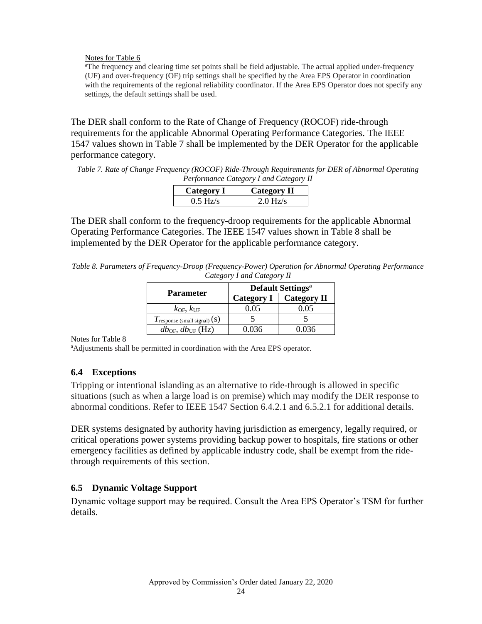Notes for Table 6

<sup>a</sup>The frequency and clearing time set points shall be field adjustable. The actual applied under-frequency (UF) and over-frequency (OF) trip settings shall be specified by the Area EPS Operator in coordination with the requirements of the regional reliability coordinator. If the Area EPS Operator does not specify any settings, the default settings shall be used.

The DER shall conform to the Rate of Change of Frequency (ROCOF) ride-through requirements for the applicable Abnormal Operating Performance Categories. The IEEE 1547 values shown in Table 7 shall be implemented by the DER Operator for the applicable performance category.

*Table 7. Rate of Change Frequency (ROCOF) Ride-Through Requirements for DER of Abnormal Operating Performance Category I and Category II*

| Category I | <b>Category II</b> |
|------------|--------------------|
| $0.5$ Hz/s | $2.0$ Hz/s         |

The DER shall conform to the frequency-droop requirements for the applicable Abnormal Operating Performance Categories. The IEEE 1547 values shown in Table 8 shall be implemented by the DER Operator for the applicable performance category.

*Table 8. Parameters of Frequency-Droop (Frequency-Power) Operation for Abnormal Operating Performance Category I and Category II*

|                                          | <b>Default Settings<sup>a</sup></b> |                    |  |
|------------------------------------------|-------------------------------------|--------------------|--|
| <b>Parameter</b>                         | Category I                          | <b>Category II</b> |  |
| $k_{\text{OF}}$ , $k_{\text{UF}}$        | 0.05                                | 0.05               |  |
| $T_{\text{response (small signal)}}(s)$  |                                     |                    |  |
| $db_{\text{OF}}$ , $db_{\text{UF}}$ (Hz) | 0.036                               | 0.036              |  |

Notes for Table 8

<sup>a</sup>Adjustments shall be permitted in coordination with the Area EPS operator.

#### <span id="page-27-0"></span>**6.4 Exceptions**

Tripping or intentional islanding as an alternative to ride-through is allowed in specific situations (such as when a large load is on premise) which may modify the DER response to abnormal conditions. Refer to IEEE 1547 Section 6.4.2.1 and 6.5.2.1 for additional details.

DER systems designated by authority having jurisdiction as emergency, legally required, or critical operations power systems providing backup power to hospitals, fire stations or other emergency facilities as defined by applicable industry code, shall be exempt from the ridethrough requirements of this section.

#### <span id="page-27-1"></span>**6.5 Dynamic Voltage Support**

Dynamic voltage support may be required. Consult the Area EPS Operator's TSM for further details.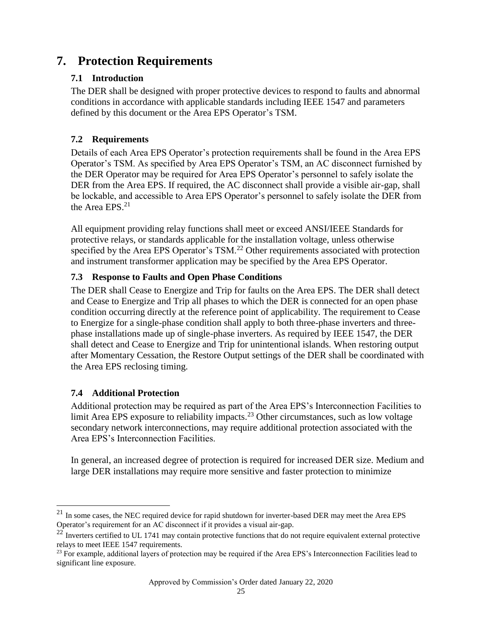## <span id="page-28-1"></span><span id="page-28-0"></span>**7. Protection Requirements**

#### **7.1 Introduction**

The DER shall be designed with proper protective devices to respond to faults and abnormal conditions in accordance with applicable standards including IEEE 1547 and parameters defined by this document or the Area EPS Operator's TSM.

#### <span id="page-28-2"></span>**7.2 Requirements**

Details of each Area EPS Operator's protection requirements shall be found in the Area EPS Operator's TSM. As specified by Area EPS Operator's TSM, an AC disconnect furnished by the DER Operator may be required for Area EPS Operator's personnel to safely isolate the DER from the Area EPS. If required, the AC disconnect shall provide a visible air-gap, shall be lockable, and accessible to Area EPS Operator's personnel to safely isolate the DER from the Area EPS. $21$ 

All equipment providing relay functions shall meet or exceed ANSI/IEEE Standards for protective relays, or standards applicable for the installation voltage, unless otherwise specified by the Area EPS Operator's TSM.<sup>22</sup> Other requirements associated with protection and instrument transformer application may be specified by the Area EPS Operator.

#### <span id="page-28-3"></span>**7.3 Response to Faults and Open Phase Conditions**

The DER shall Cease to Energize and Trip for faults on the Area EPS. The DER shall detect and Cease to Energize and Trip all phases to which the DER is connected for an open phase condition occurring directly at the reference point of applicability. The requirement to Cease to Energize for a single-phase condition shall apply to both three-phase inverters and threephase installations made up of single-phase inverters. As required by IEEE 1547, the DER shall detect and Cease to Energize and Trip for unintentional islands. When restoring output after Momentary Cessation, the Restore Output settings of the DER shall be coordinated with the Area EPS reclosing timing.

#### <span id="page-28-4"></span>**7.4 Additional Protection**

l

Additional protection may be required as part of the Area EPS's Interconnection Facilities to limit Area EPS exposure to reliability impacts.<sup>23</sup> Other circumstances, such as low voltage secondary network interconnections, may require additional protection associated with the Area EPS's Interconnection Facilities.

In general, an increased degree of protection is required for increased DER size. Medium and large DER installations may require more sensitive and faster protection to minimize

Approved by Commission's Order dated January 22, 2020

 $^{21}$  In some cases, the NEC required device for rapid shutdown for inverter-based DER may meet the Area EPS Operator's requirement for an AC disconnect if it provides a visual air-gap.

 $22$ <sup> $22$ </sup> Inverters certified to UL 1741 may contain protective functions that do not require equivalent external protective relays to meet IEEE 1547 requirements.

<sup>&</sup>lt;sup>23</sup> For example, additional layers of protection may be required if the Area EPS's Interconnection Facilities lead to significant line exposure.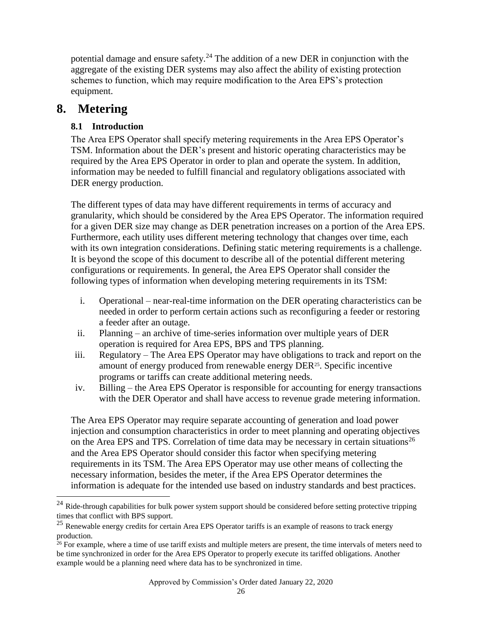potential damage and ensure safety.<sup>24</sup> The addition of a new DER in conjunction with the aggregate of the existing DER systems may also affect the ability of existing protection schemes to function, which may require modification to the Area EPS's protection equipment.

## <span id="page-29-0"></span>**8. Metering**

 $\overline{a}$ 

#### <span id="page-29-1"></span>**8.1 Introduction**

The Area EPS Operator shall specify metering requirements in the Area EPS Operator's TSM. Information about the DER's present and historic operating characteristics may be required by the Area EPS Operator in order to plan and operate the system. In addition, information may be needed to fulfill financial and regulatory obligations associated with DER energy production.

The different types of data may have different requirements in terms of accuracy and granularity, which should be considered by the Area EPS Operator. The information required for a given DER size may change as DER penetration increases on a portion of the Area EPS. Furthermore, each utility uses different metering technology that changes over time, each with its own integration considerations. Defining static metering requirements is a challenge. It is beyond the scope of this document to describe all of the potential different metering configurations or requirements. In general, the Area EPS Operator shall consider the following types of information when developing metering requirements in its TSM:

- i. Operational near-real-time information on the DER operating characteristics can be needed in order to perform certain actions such as reconfiguring a feeder or restoring a feeder after an outage.
- ii. Planning an archive of time-series information over multiple years of DER operation is required for Area EPS, BPS and TPS planning.
- iii. Regulatory The Area EPS Operator may have obligations to track and report on the amount of energy produced from renewable energy DER<sup>25</sup>. Specific incentive programs or tariffs can create additional metering needs.
- iv. Billing the Area EPS Operator is responsible for accounting for energy transactions with the DER Operator and shall have access to revenue grade metering information.

The Area EPS Operator may require separate accounting of generation and load power injection and consumption characteristics in order to meet planning and operating objectives on the Area EPS and TPS. Correlation of time data may be necessary in certain situations<sup>26</sup> and the Area EPS Operator should consider this factor when specifying metering requirements in its TSM. The Area EPS Operator may use other means of collecting the necessary information, besides the meter, if the Area EPS Operator determines the information is adequate for the intended use based on industry standards and best practices.

 $^{24}$  Ride-through capabilities for bulk power system support should be considered before setting protective tripping times that conflict with BPS support.

<sup>&</sup>lt;sup>25</sup> Renewable energy credits for certain Area EPS Operator tariffs is an example of reasons to track energy production.

 $26$  For example, where a time of use tariff exists and multiple meters are present, the time intervals of meters need to be time synchronized in order for the Area EPS Operator to properly execute its tariffed obligations. Another example would be a planning need where data has to be synchronized in time.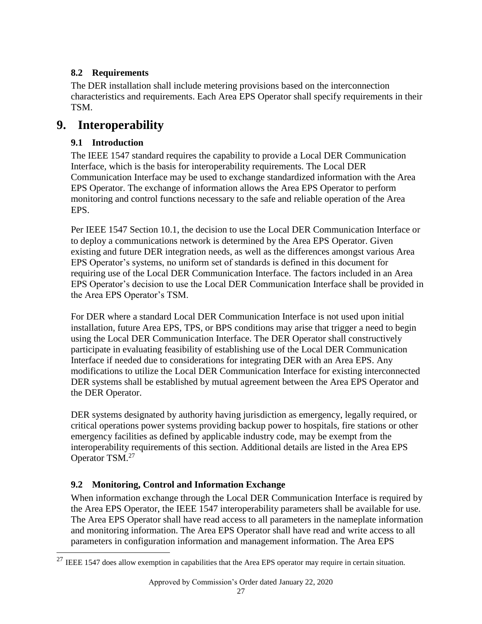#### <span id="page-30-0"></span>**8.2 Requirements**

The DER installation shall include metering provisions based on the interconnection characteristics and requirements. Each Area EPS Operator shall specify requirements in their TSM.

## <span id="page-30-2"></span><span id="page-30-1"></span>**9. Interoperability**

#### **9.1 Introduction**

The IEEE 1547 standard requires the capability to provide a Local DER Communication Interface*,* which is the basis for interoperability requirements. The Local DER Communication Interface may be used to exchange standardized information with the Area EPS Operator. The exchange of information allows the Area EPS Operator to perform monitoring and control functions necessary to the safe and reliable operation of the Area EPS.

Per IEEE 1547 Section 10.1, the decision to use the Local DER Communication Interface or to deploy a communications network is determined by the Area EPS Operator. Given existing and future DER integration needs, as well as the differences amongst various Area EPS Operator's systems, no uniform set of standards is defined in this document for requiring use of the Local DER Communication Interface. The factors included in an Area EPS Operator's decision to use the Local DER Communication Interface shall be provided in the Area EPS Operator's TSM.

For DER where a standard Local DER Communication Interface is not used upon initial installation, future Area EPS, TPS, or BPS conditions may arise that trigger a need to begin using the Local DER Communication Interface. The DER Operator shall constructively participate in evaluating feasibility of establishing use of the Local DER Communication Interface if needed due to considerations for integrating DER with an Area EPS. Any modifications to utilize the Local DER Communication Interface for existing interconnected DER systems shall be established by mutual agreement between the Area EPS Operator and the DER Operator.

DER systems designated by authority having jurisdiction as emergency, legally required, or critical operations power systems providing backup power to hospitals, fire stations or other emergency facilities as defined by applicable industry code, may be exempt from the interoperability requirements of this section. Additional details are listed in the Area EPS Operator TSM.<sup>27</sup>

#### <span id="page-30-3"></span>**9.2 Monitoring, Control and Information Exchange**

When information exchange through the Local DER Communication Interface is required by the Area EPS Operator, the IEEE 1547 interoperability parameters shall be available for use. The Area EPS Operator shall have read access to all parameters in the nameplate information and monitoring information. The Area EPS Operator shall have read and write access to all parameters in configuration information and management information. The Area EPS

<sup>27</sup> IEEE 1547 does allow exemption in capabilities that the Area EPS operator may require in certain situation.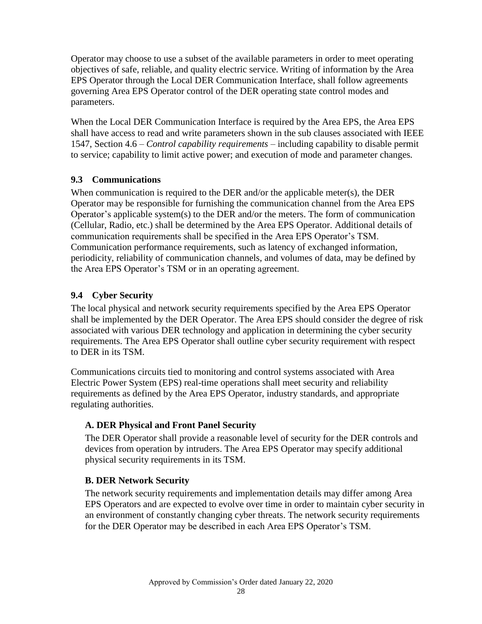Operator may choose to use a subset of the available parameters in order to meet operating objectives of safe, reliable, and quality electric service. Writing of information by the Area EPS Operator through the Local DER Communication Interface, shall follow agreements governing Area EPS Operator control of the DER operating state control modes and parameters.

When the Local DER Communication Interface is required by the Area EPS, the Area EPS shall have access to read and write parameters shown in the sub clauses associated with IEEE 1547, Section 4.6 – *Control capability requirements –* including capability to disable permit to service; capability to limit active power; and execution of mode and parameter changes*.* 

#### <span id="page-31-0"></span>**9.3 Communications**

When communication is required to the DER and/or the applicable meter(s), the DER Operator may be responsible for furnishing the communication channel from the Area EPS Operator's applicable system(s) to the DER and/or the meters. The form of communication (Cellular, Radio, etc.) shall be determined by the Area EPS Operator. Additional details of communication requirements shall be specified in the Area EPS Operator's TSM. Communication performance requirements, such as latency of exchanged information, periodicity, reliability of communication channels, and volumes of data, may be defined by the Area EPS Operator's TSM or in an operating agreement.

#### <span id="page-31-1"></span>**9.4 Cyber Security**

The local physical and network security requirements specified by the Area EPS Operator shall be implemented by the DER Operator. The Area EPS should consider the degree of risk associated with various DER technology and application in determining the cyber security requirements. The Area EPS Operator shall outline cyber security requirement with respect to DER in its TSM.

Communications circuits tied to monitoring and control systems associated with Area Electric Power System (EPS) real-time operations shall meet security and reliability requirements as defined by the Area EPS Operator, industry standards, and appropriate regulating authorities.

#### <span id="page-31-2"></span>**A. DER Physical and Front Panel Security**

The DER Operator shall provide a reasonable level of security for the DER controls and devices from operation by intruders. The Area EPS Operator may specify additional physical security requirements in its TSM.

#### <span id="page-31-3"></span>**B. DER Network Security**

The network security requirements and implementation details may differ among Area EPS Operators and are expected to evolve over time in order to maintain cyber security in an environment of constantly changing cyber threats. The network security requirements for the DER Operator may be described in each Area EPS Operator's TSM.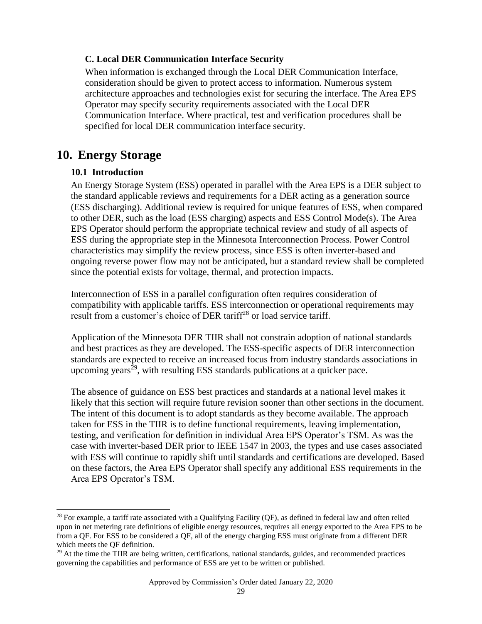#### <span id="page-32-0"></span>**C. Local DER Communication Interface Security**

When information is exchanged through the Local DER Communication Interface*,*  consideration should be given to protect access to information. Numerous system architecture approaches and technologies exist for securing the interface. The Area EPS Operator may specify security requirements associated with the Local DER Communication Interface. Where practical, test and verification procedures shall be specified for local DER communication interface security.

### <span id="page-32-2"></span><span id="page-32-1"></span>**10. Energy Storage**

#### **10.1 Introduction**

 $\overline{a}$ 

An Energy Storage System (ESS) operated in parallel with the Area EPS is a DER subject to the standard applicable reviews and requirements for a DER acting as a generation source (ESS discharging). Additional review is required for unique features of ESS, when compared to other DER, such as the load (ESS charging) aspects and ESS Control Mode(s). The Area EPS Operator should perform the appropriate technical review and study of all aspects of ESS during the appropriate step in the Minnesota Interconnection Process. Power Control characteristics may simplify the review process, since ESS is often inverter-based and ongoing reverse power flow may not be anticipated, but a standard review shall be completed since the potential exists for voltage, thermal, and protection impacts.

Interconnection of ESS in a parallel configuration often requires consideration of compatibility with applicable tariffs. ESS interconnection or operational requirements may result from a customer's choice of DER tariff<sup>28</sup> or load service tariff.

Application of the Minnesota DER TIIR shall not constrain adoption of national standards and best practices as they are developed. The ESS-specific aspects of DER interconnection standards are expected to receive an increased focus from industry standards associations in upcoming years<sup>29</sup>, with resulting ESS standards publications at a quicker pace.

The absence of guidance on ESS best practices and standards at a national level makes it likely that this section will require future revision sooner than other sections in the document. The intent of this document is to adopt standards as they become available. The approach taken for ESS in the TIIR is to define functional requirements, leaving implementation, testing, and verification for definition in individual Area EPS Operator's TSM. As was the case with inverter-based DER prior to IEEE 1547 in 2003, the types and use cases associated with ESS will continue to rapidly shift until standards and certifications are developed. Based on these factors, the Area EPS Operator shall specify any additional ESS requirements in the Area EPS Operator's TSM.

 $28$  For example, a tariff rate associated with a Qualifying Facility (OF), as defined in federal law and often relied upon in net metering rate definitions of eligible energy resources, requires all energy exported to the Area EPS to be from a QF. For ESS to be considered a QF, all of the energy charging ESS must originate from a different DER which meets the QF definition.

<sup>&</sup>lt;sup>29</sup> At the time the TIIR are being written, certifications, national standards, guides, and recommended practices governing the capabilities and performance of ESS are yet to be written or published.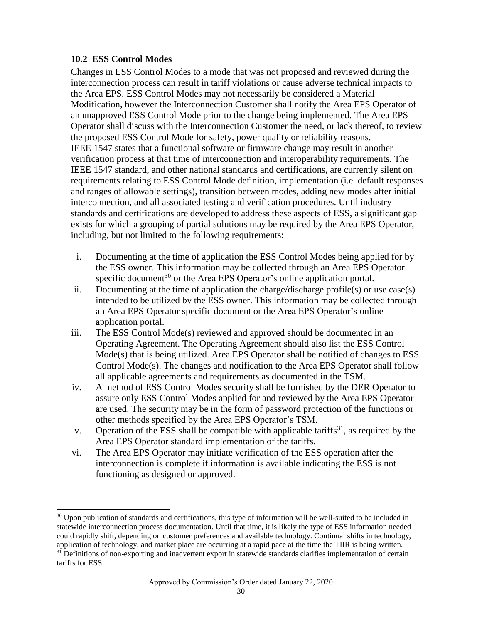#### <span id="page-33-0"></span>**10.2 ESS Control Modes**

 $\overline{a}$ 

Changes in ESS Control Modes to a mode that was not proposed and reviewed during the interconnection process can result in tariff violations or cause adverse technical impacts to the Area EPS. ESS Control Modes may not necessarily be considered a Material Modification, however the Interconnection Customer shall notify the Area EPS Operator of an unapproved ESS Control Mode prior to the change being implemented. The Area EPS Operator shall discuss with the Interconnection Customer the need, or lack thereof, to review the proposed ESS Control Mode for safety, power quality or reliability reasons. IEEE 1547 states that a functional software or firmware change may result in another verification process at that time of interconnection and interoperability requirements. The IEEE 1547 standard, and other national standards and certifications, are currently silent on requirements relating to ESS Control Mode definition, implementation (i.e. default responses and ranges of allowable settings), transition between modes, adding new modes after initial interconnection, and all associated testing and verification procedures. Until industry standards and certifications are developed to address these aspects of ESS, a significant gap exists for which a grouping of partial solutions may be required by the Area EPS Operator, including, but not limited to the following requirements:

- i. Documenting at the time of application the ESS Control Modes being applied for by the ESS owner. This information may be collected through an Area EPS Operator specific document<sup>30</sup> or the Area EPS Operator's online application portal.
- ii. Documenting at the time of application the charge/discharge profile(s) or use case(s) intended to be utilized by the ESS owner. This information may be collected through an Area EPS Operator specific document or the Area EPS Operator's online application portal.
- iii. The ESS Control Mode(s) reviewed and approved should be documented in an Operating Agreement. The Operating Agreement should also list the ESS Control Mode(s) that is being utilized. Area EPS Operator shall be notified of changes to ESS Control Mode(s). The changes and notification to the Area EPS Operator shall follow all applicable agreements and requirements as documented in the TSM.
- iv. A method of ESS Control Modes security shall be furnished by the DER Operator to assure only ESS Control Modes applied for and reviewed by the Area EPS Operator are used. The security may be in the form of password protection of the functions or other methods specified by the Area EPS Operator's TSM.
- v. Operation of the ESS shall be compatible with applicable tariffs $^{31}$ , as required by the Area EPS Operator standard implementation of the tariffs.
- vi. The Area EPS Operator may initiate verification of the ESS operation after the interconnection is complete if information is available indicating the ESS is not functioning as designed or approved.

<sup>&</sup>lt;sup>30</sup> Upon publication of standards and certifications, this type of information will be well-suited to be included in statewide interconnection process documentation. Until that time, it is likely the type of ESS information needed could rapidly shift, depending on customer preferences and available technology. Continual shifts in technology, application of technology, and market place are occurring at a rapid pace at the time the TIIR is being written.

<sup>&</sup>lt;sup>31</sup> Definitions of non-exporting and inadvertent export in statewide standards clarifies implementation of certain tariffs for ESS.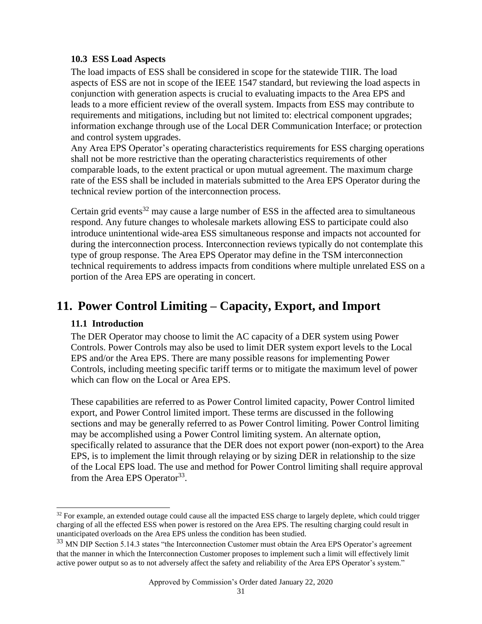#### <span id="page-34-0"></span>**10.3 ESS Load Aspects**

The load impacts of ESS shall be considered in scope for the statewide TIIR. The load aspects of ESS are not in scope of the IEEE 1547 standard, but reviewing the load aspects in conjunction with generation aspects is crucial to evaluating impacts to the Area EPS and leads to a more efficient review of the overall system. Impacts from ESS may contribute to requirements and mitigations, including but not limited to: electrical component upgrades; information exchange through use of the Local DER Communication Interface; or protection and control system upgrades.

Any Area EPS Operator's operating characteristics requirements for ESS charging operations shall not be more restrictive than the operating characteristics requirements of other comparable loads, to the extent practical or upon mutual agreement. The maximum charge rate of the ESS shall be included in materials submitted to the Area EPS Operator during the technical review portion of the interconnection process.

Certain grid events<sup>32</sup> may cause a large number of ESS in the affected area to simultaneous respond. Any future changes to wholesale markets allowing ESS to participate could also introduce unintentional wide-area ESS simultaneous response and impacts not accounted for during the interconnection process. Interconnection reviews typically do not contemplate this type of group response. The Area EPS Operator may define in the TSM interconnection technical requirements to address impacts from conditions where multiple unrelated ESS on a portion of the Area EPS are operating in concert.

## <span id="page-34-2"></span><span id="page-34-1"></span>**11. Power Control Limiting – Capacity, Export, and Import**

#### **11.1 Introduction**

The DER Operator may choose to limit the AC capacity of a DER system using Power Controls. Power Controls may also be used to limit DER system export levels to the Local EPS and/or the Area EPS. There are many possible reasons for implementing Power Controls, including meeting specific tariff terms or to mitigate the maximum level of power which can flow on the Local or Area EPS.

These capabilities are referred to as Power Control limited capacity, Power Control limited export, and Power Control limited import. These terms are discussed in the following sections and may be generally referred to as Power Control limiting. Power Control limiting may be accomplished using a Power Control limiting system. An alternate option, specifically related to assurance that the DER does not export power (non-export) to the Area EPS, is to implement the limit through relaying or by sizing DER in relationship to the size of the Local EPS load. The use and method for Power Control limiting shall require approval from the Area EPS Operator<sup>33</sup>.

Approved by Commission's Order dated January 22, 2020

 $32$  For example, an extended outage could cause all the impacted ESS charge to largely deplete, which could trigger charging of all the effected ESS when power is restored on the Area EPS. The resulting charging could result in unanticipated overloads on the Area EPS unless the condition has been studied.

<sup>&</sup>lt;sup>33</sup> MN DIP Section 5.14.3 states "the Interconnection Customer must obtain the Area EPS Operator's agreement that the manner in which the Interconnection Customer proposes to implement such a limit will effectively limit active power output so as to not adversely affect the safety and reliability of the Area EPS Operator's system."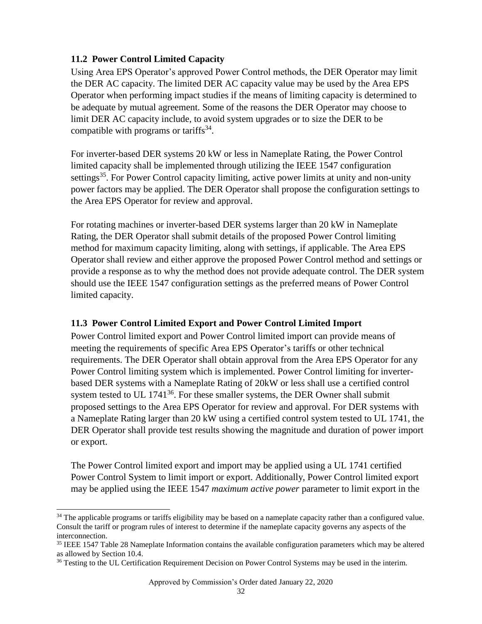#### <span id="page-35-0"></span>**11.2 Power Control Limited Capacity**

 $\overline{a}$ 

Using Area EPS Operator's approved Power Control methods, the DER Operator may limit the DER AC capacity. The limited DER AC capacity value may be used by the Area EPS Operator when performing impact studies if the means of limiting capacity is determined to be adequate by mutual agreement. Some of the reasons the DER Operator may choose to limit DER AC capacity include, to avoid system upgrades or to size the DER to be compatible with programs or tariffs<sup>34</sup>.

For inverter-based DER systems 20 kW or less in Nameplate Rating, the Power Control limited capacity shall be implemented through utilizing the IEEE 1547 configuration settings<sup>35</sup>. For Power Control capacity limiting, active power limits at unity and non-unity power factors may be applied. The DER Operator shall propose the configuration settings to the Area EPS Operator for review and approval.

For rotating machines or inverter-based DER systems larger than 20 kW in Nameplate Rating, the DER Operator shall submit details of the proposed Power Control limiting method for maximum capacity limiting, along with settings, if applicable. The Area EPS Operator shall review and either approve the proposed Power Control method and settings or provide a response as to why the method does not provide adequate control. The DER system should use the IEEE 1547 configuration settings as the preferred means of Power Control limited capacity.

#### <span id="page-35-1"></span>**11.3 Power Control Limited Export and Power Control Limited Import**

Power Control limited export and Power Control limited import can provide means of meeting the requirements of specific Area EPS Operator's tariffs or other technical requirements. The DER Operator shall obtain approval from the Area EPS Operator for any Power Control limiting system which is implemented. Power Control limiting for inverterbased DER systems with a Nameplate Rating of 20kW or less shall use a certified control system tested to UL 1741<sup>36</sup>. For these smaller systems, the DER Owner shall submit proposed settings to the Area EPS Operator for review and approval. For DER systems with a Nameplate Rating larger than 20 kW using a certified control system tested to UL 1741, the DER Operator shall provide test results showing the magnitude and duration of power import or export.

The Power Control limited export and import may be applied using a UL 1741 certified Power Control System to limit import or export. Additionally, Power Control limited export may be applied using the IEEE 1547 *maximum active power* parameter to limit export in the

<sup>&</sup>lt;sup>34</sup> The applicable programs or tariffs eligibility may be based on a nameplate capacity rather than a configured value. Consult the tariff or program rules of interest to determine if the nameplate capacity governs any aspects of the interconnection.

<sup>&</sup>lt;sup>35</sup> IEEE 1547 Table 28 Nameplate Information contains the available configuration parameters which may be altered as allowed by Section 10.4.

<sup>&</sup>lt;sup>36</sup> Testing to the UL Certification Requirement Decision on Power Control Systems may be used in the interim.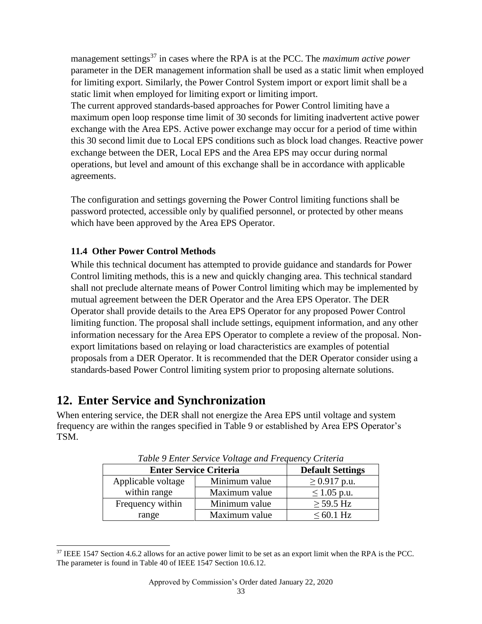management settings<sup>37</sup> in cases where the RPA is at the PCC. The *maximum active power* parameter in the DER management information shall be used as a static limit when employed for limiting export. Similarly, the Power Control System import or export limit shall be a static limit when employed for limiting export or limiting import. The current approved standards-based approaches for Power Control limiting have a maximum open loop response time limit of 30 seconds for limiting inadvertent active power exchange with the Area EPS. Active power exchange may occur for a period of time within this 30 second limit due to Local EPS conditions such as block load changes. Reactive power exchange between the DER, Local EPS and the Area EPS may occur during normal operations, but level and amount of this exchange shall be in accordance with applicable agreements.

The configuration and settings governing the Power Control limiting functions shall be password protected, accessible only by qualified personnel, or protected by other means which have been approved by the Area EPS Operator.

#### <span id="page-36-0"></span>**11.4 Other Power Control Methods**

While this technical document has attempted to provide guidance and standards for Power Control limiting methods, this is a new and quickly changing area. This technical standard shall not preclude alternate means of Power Control limiting which may be implemented by mutual agreement between the DER Operator and the Area EPS Operator. The DER Operator shall provide details to the Area EPS Operator for any proposed Power Control limiting function. The proposal shall include settings, equipment information, and any other information necessary for the Area EPS Operator to complete a review of the proposal. Nonexport limitations based on relaying or load characteristics are examples of potential proposals from a DER Operator. It is recommended that the DER Operator consider using a standards-based Power Control limiting system prior to proposing alternate solutions.

## <span id="page-36-1"></span>**12. Enter Service and Synchronization**

 $\overline{a}$ 

When entering service, the DER shall not energize the Area EPS until voltage and system frequency are within the ranges specified in Table 9 or established by Area EPS Operator's TSM.

| Table 9 Enter Service Vollage and Prequency Criteria |               |                         |  |  |
|------------------------------------------------------|---------------|-------------------------|--|--|
| <b>Enter Service Criteria</b>                        |               | <b>Default Settings</b> |  |  |
| Applicable voltage                                   | Minimum value | $\geq$ 0.917 p.u.       |  |  |
| within range                                         | Maximum value | $≤ 1.05$ p.u.           |  |  |
| Frequency within                                     | Minimum value | $\geq$ 59.5 Hz          |  |  |
| range                                                | Maximum value | $\leq 60.1$ Hz          |  |  |

*Table 9 Enter Service Voltage and Frequency Criteria*

<sup>&</sup>lt;sup>37</sup> IEEE 1547 Section 4.6.2 allows for an active power limit to be set as an export limit when the RPA is the PCC. The parameter is found in Table 40 of IEEE 1547 Section 10.6.12.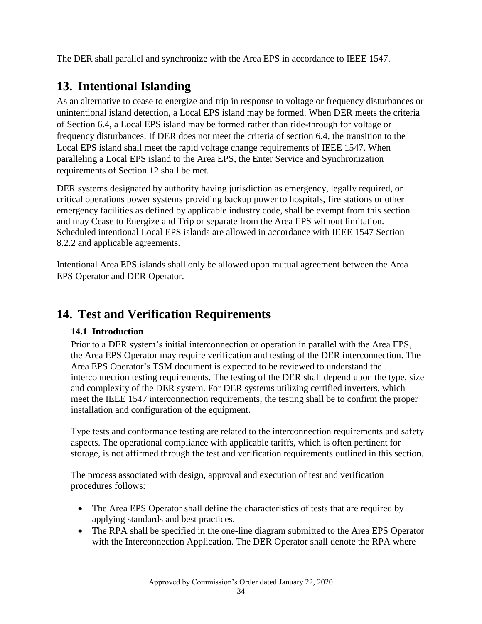The DER shall parallel and synchronize with the Area EPS in accordance to IEEE 1547.

## <span id="page-37-0"></span>**13. Intentional Islanding**

As an alternative to cease to energize and trip in response to voltage or frequency disturbances or unintentional island detection, a Local EPS island may be formed. When DER meets the criteria of Section [6.4,](#page-27-0) a Local EPS island may be formed rather than ride-through for voltage or frequency disturbances. If DER does not meet the criteria of section [6.4,](#page-27-0) the transition to the Local EPS island shall meet the rapid voltage change requirements of IEEE 1547. When paralleling a Local EPS island to the Area EPS, the Enter Service and Synchronization requirements of Section [12](#page-36-1) shall be met.

DER systems designated by authority having jurisdiction as emergency, legally required, or critical operations power systems providing backup power to hospitals, fire stations or other emergency facilities as defined by applicable industry code, shall be exempt from this section and may Cease to Energize and Trip or separate from the Area EPS without limitation. Scheduled intentional Local EPS islands are allowed in accordance with IEEE 1547 Section 8.2.2 and applicable agreements.

Intentional Area EPS islands shall only be allowed upon mutual agreement between the Area EPS Operator and DER Operator.

## <span id="page-37-2"></span><span id="page-37-1"></span>**14. Test and Verification Requirements**

#### **14.1 Introduction**

Prior to a DER system's initial interconnection or operation in parallel with the Area EPS, the Area EPS Operator may require verification and testing of the DER interconnection. The Area EPS Operator's TSM document is expected to be reviewed to understand the interconnection testing requirements. The testing of the DER shall depend upon the type, size and complexity of the DER system. For DER systems utilizing certified inverters, which meet the IEEE 1547 interconnection requirements, the testing shall be to confirm the proper installation and configuration of the equipment.

Type tests and conformance testing are related to the interconnection requirements and safety aspects. The operational compliance with applicable tariffs, which is often pertinent for storage, is not affirmed through the test and verification requirements outlined in this section.

The process associated with design, approval and execution of test and verification procedures follows:

- The Area EPS Operator shall define the characteristics of tests that are required by applying standards and best practices.
- The RPA shall be specified in the one-line diagram submitted to the Area EPS Operator with the Interconnection Application. The DER Operator shall denote the RPA where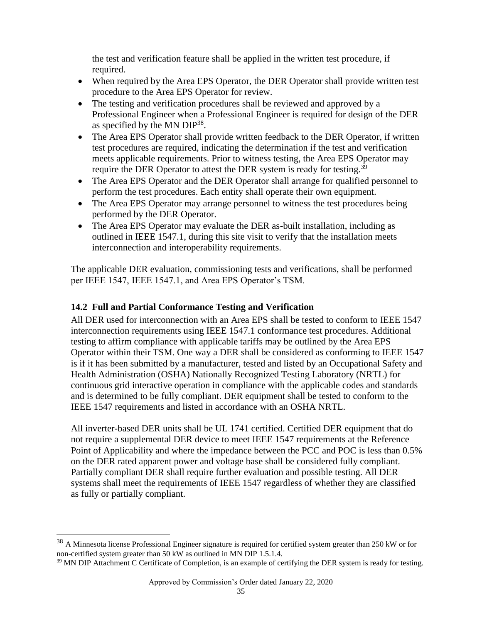the test and verification feature shall be applied in the written test procedure, if required.

- When required by the Area EPS Operator, the DER Operator shall provide written test procedure to the Area EPS Operator for review.
- The testing and verification procedures shall be reviewed and approved by a Professional Engineer when a Professional Engineer is required for design of the DER as specified by the MN  $DIP^{38}$ .
- The Area EPS Operator shall provide written feedback to the DER Operator, if written test procedures are required, indicating the determination if the test and verification meets applicable requirements. Prior to witness testing, the Area EPS Operator may require the DER Operator to attest the DER system is ready for testing.<sup>39</sup>
- The Area EPS Operator and the DER Operator shall arrange for qualified personnel to perform the test procedures. Each entity shall operate their own equipment.
- The Area EPS Operator may arrange personnel to witness the test procedures being performed by the DER Operator.
- The Area EPS Operator may evaluate the DER as-built installation, including as outlined in IEEE 1547.1, during this site visit to verify that the installation meets interconnection and interoperability requirements.

The applicable DER evaluation, commissioning tests and verifications, shall be performed per IEEE 1547, IEEE 1547.1, and Area EPS Operator's TSM.

#### <span id="page-38-0"></span>**14.2 Full and Partial Conformance Testing and Verification**

l

All DER used for interconnection with an Area EPS shall be tested to conform to IEEE 1547 interconnection requirements using IEEE 1547.1 conformance test procedures. Additional testing to affirm compliance with applicable tariffs may be outlined by the Area EPS Operator within their TSM. One way a DER shall be considered as conforming to IEEE 1547 is if it has been submitted by a manufacturer, tested and listed by an Occupational Safety and Health Administration (OSHA) Nationally Recognized Testing Laboratory (NRTL) for continuous grid interactive operation in compliance with the applicable codes and standards and is determined to be fully compliant. DER equipment shall be tested to conform to the IEEE 1547 requirements and listed in accordance with an OSHA NRTL.

All inverter-based DER units shall be UL 1741 certified. Certified DER equipment that do not require a supplemental DER device to meet IEEE 1547 requirements at the Reference Point of Applicability and where the impedance between the PCC and POC is less than 0.5% on the DER rated apparent power and voltage base shall be considered fully compliant. Partially compliant DER shall require further evaluation and possible testing. All DER systems shall meet the requirements of IEEE 1547 regardless of whether they are classified as fully or partially compliant.

 $38$  A Minnesota license Professional Engineer signature is required for certified system greater than 250 kW or for non-certified system greater than 50 kW as outlined in MN DIP 1.5.1.4.

<sup>&</sup>lt;sup>39</sup> MN DIP Attachment C Certificate of Completion, is an example of certifying the DER system is ready for testing.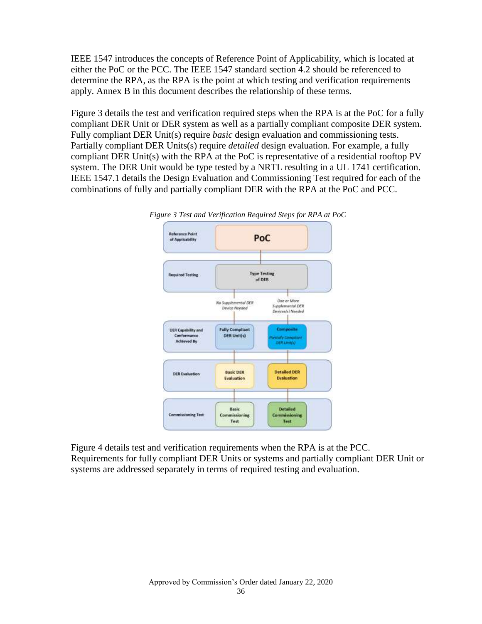IEEE 1547 introduces the concepts of Reference Point of Applicability, which is located at either the PoC or the PCC. The IEEE 1547 standard section 4.2 should be referenced to determine the RPA, as the RPA is the point at which testing and verification requirements apply. Annex B in this document describes the relationship of these terms.

Figure 3 details the test and verification required steps when the RPA is at the PoC for a fully compliant DER Unit or DER system as well as a partially compliant composite DER system. Fully compliant DER Unit(s) require *basic* design evaluation and commissioning tests. Partially compliant DER Units(s) require *detailed* design evaluation. For example, a fully compliant DER Unit(s) with the RPA at the PoC is representative of a residential rooftop PV system. The DER Unit would be type tested by a NRTL resulting in a UL 1741 certification. IEEE 1547.1 details the Design Evaluation and Commissioning Test required for each of the combinations of fully and partially compliant DER with the RPA at the PoC and PCC.



*Figure 3 Test and Verification Required Steps for RPA at PoC*

Figure 4 details test and verification requirements when the RPA is at the PCC. Requirements for fully compliant DER Units or systems and partially compliant DER Unit or systems are addressed separately in terms of required testing and evaluation.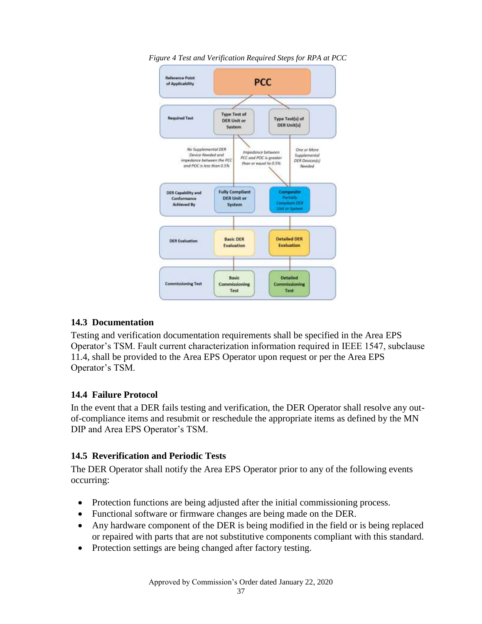

*Figure 4 Test and Verification Required Steps for RPA at PCC*

#### <span id="page-40-0"></span>**14.3 Documentation**

Testing and verification documentation requirements shall be specified in the Area EPS Operator's TSM. Fault current characterization information required in IEEE 1547, subclause 11.4, shall be provided to the Area EPS Operator upon request or per the Area EPS Operator's TSM.

#### <span id="page-40-1"></span>**14.4 Failure Protocol**

In the event that a DER fails testing and verification, the DER Operator shall resolve any outof-compliance items and resubmit or reschedule the appropriate items as defined by the MN DIP and Area EPS Operator's TSM.

#### <span id="page-40-2"></span>**14.5 Reverification and Periodic Tests**

The DER Operator shall notify the Area EPS Operator prior to any of the following events occurring:

- Protection functions are being adjusted after the initial commissioning process.
- Functional software or firmware changes are being made on the DER.
- Any hardware component of the DER is being modified in the field or is being replaced or repaired with parts that are not substitutive components compliant with this standard.
- Protection settings are being changed after factory testing.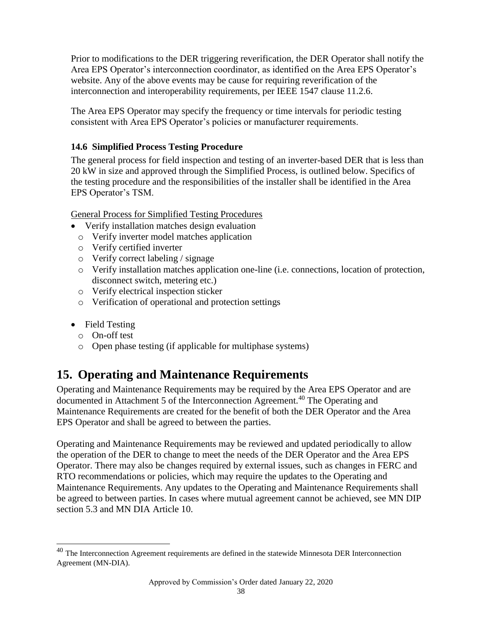Prior to modifications to the DER triggering reverification, the DER Operator shall notify the Area EPS Operator's interconnection coordinator, as identified on the Area EPS Operator's website. Any of the above events may be cause for requiring reverification of the interconnection and interoperability requirements, per IEEE 1547 clause 11.2.6.

The Area EPS Operator may specify the frequency or time intervals for periodic testing consistent with Area EPS Operator's policies or manufacturer requirements.

#### <span id="page-41-0"></span>**14.6 Simplified Process Testing Procedure**

The general process for field inspection and testing of an inverter-based DER that is less than 20 kW in size and approved through the Simplified Process, is outlined below. Specifics of the testing procedure and the responsibilities of the installer shall be identified in the Area EPS Operator's TSM.

General Process for Simplified Testing Procedures

- Verify installation matches design evaluation
	- o Verify inverter model matches application
	- o Verify certified inverter
	- o Verify correct labeling / signage
	- o Verify installation matches application one-line (i.e. connections, location of protection, disconnect switch, metering etc.)
	- o Verify electrical inspection sticker
	- o Verification of operational and protection settings
- Field Testing

 $\overline{a}$ 

- o On-off test
- o Open phase testing (if applicable for multiphase systems)

## <span id="page-41-1"></span>**15. Operating and Maintenance Requirements**

Operating and Maintenance Requirements may be required by the Area EPS Operator and are documented in Attachment 5 of the Interconnection Agreement.<sup>40</sup> The Operating and Maintenance Requirements are created for the benefit of both the DER Operator and the Area EPS Operator and shall be agreed to between the parties.

Operating and Maintenance Requirements may be reviewed and updated periodically to allow the operation of the DER to change to meet the needs of the DER Operator and the Area EPS Operator. There may also be changes required by external issues, such as changes in FERC and RTO recommendations or policies, which may require the updates to the Operating and Maintenance Requirements. Any updates to the Operating and Maintenance Requirements shall be agreed to between parties. In cases where mutual agreement cannot be achieved, see MN DIP section 5.3 and MN DIA Article 10.

<sup>&</sup>lt;sup>40</sup> The Interconnection Agreement requirements are defined in the statewide Minnesota DER Interconnection Agreement (MN-DIA).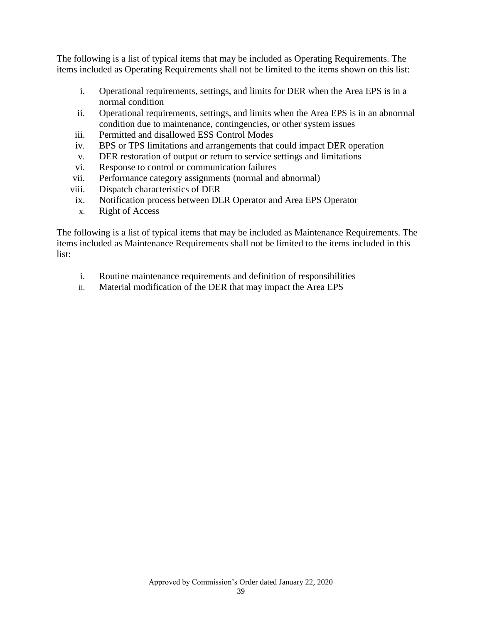The following is a list of typical items that may be included as Operating Requirements. The items included as Operating Requirements shall not be limited to the items shown on this list:

- i. Operational requirements, settings, and limits for DER when the Area EPS is in a normal condition
- ii. Operational requirements, settings, and limits when the Area EPS is in an abnormal condition due to maintenance, contingencies, or other system issues
- iii. Permitted and disallowed ESS Control Modes
- iv. BPS or TPS limitations and arrangements that could impact DER operation
- v. DER restoration of output or return to service settings and limitations
- vi. Response to control or communication failures
- vii. Performance category assignments (normal and abnormal)
- viii. Dispatch characteristics of DER
- ix. Notification process between DER Operator and Area EPS Operator
- x. Right of Access

The following is a list of typical items that may be included as Maintenance Requirements. The items included as Maintenance Requirements shall not be limited to the items included in this list:

- i. Routine maintenance requirements and definition of responsibilities
- ii. Material modification of the DER that may impact the Area EPS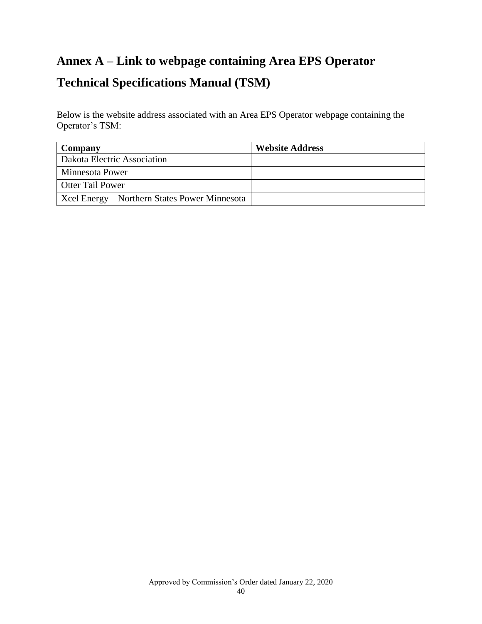## <span id="page-43-0"></span>**Annex A – Link to webpage containing Area EPS Operator Technical Specifications Manual (TSM)**

Below is the website address associated with an Area EPS Operator webpage containing the Operator's TSM:

| Company                                       | <b>Website Address</b> |
|-----------------------------------------------|------------------------|
| Dakota Electric Association                   |                        |
| Minnesota Power                               |                        |
| <b>Otter Tail Power</b>                       |                        |
| Xcel Energy – Northern States Power Minnesota |                        |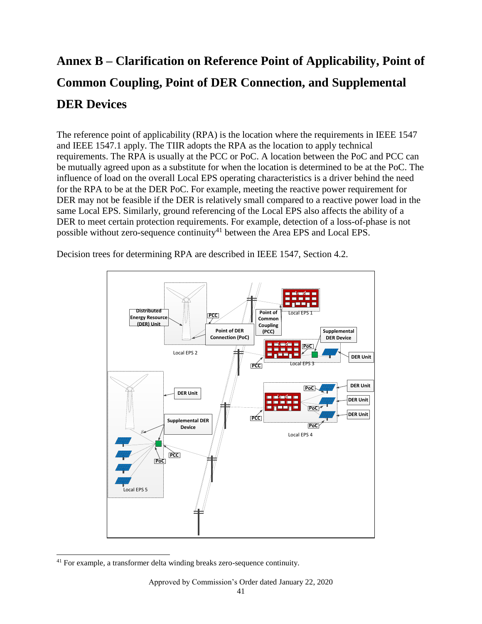## <span id="page-44-0"></span>**Annex B – Clarification on Reference Point of Applicability, Point of Common Coupling, Point of DER Connection, and Supplemental DER Devices**

The reference point of applicability (RPA) is the location where the requirements in IEEE 1547 and IEEE 1547.1 apply. The TIIR adopts the RPA as the location to apply technical requirements. The RPA is usually at the PCC or PoC. A location between the PoC and PCC can be mutually agreed upon as a substitute for when the location is determined to be at the PoC. The influence of load on the overall Local EPS operating characteristics is a driver behind the need for the RPA to be at the DER PoC. For example, meeting the reactive power requirement for DER may not be feasible if the DER is relatively small compared to a reactive power load in the same Local EPS. Similarly, ground referencing of the Local EPS also affects the ability of a DER to meet certain protection requirements. For example, detection of a loss-of-phase is not possible without zero-sequence continuity<sup>41</sup> between the Area EPS and Local EPS.

Decision trees for determining RPA are described in IEEE 1547, Section 4.2.



<sup>&</sup>lt;sup>41</sup> For example, a transformer delta winding breaks zero-sequence continuity.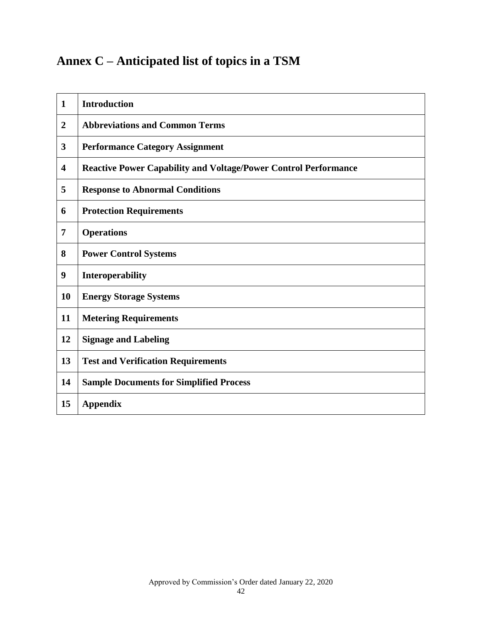## **Annex C – Anticipated list of topics in a TSM**

| $\mathbf{1}$            | <b>Introduction</b>                                                    |  |  |
|-------------------------|------------------------------------------------------------------------|--|--|
| $\boldsymbol{2}$        | <b>Abbreviations and Common Terms</b>                                  |  |  |
| 3                       | <b>Performance Category Assignment</b>                                 |  |  |
| $\overline{\mathbf{4}}$ | <b>Reactive Power Capability and Voltage/Power Control Performance</b> |  |  |
| 5                       | <b>Response to Abnormal Conditions</b>                                 |  |  |
| 6                       | <b>Protection Requirements</b>                                         |  |  |
| $\overline{7}$          | <b>Operations</b>                                                      |  |  |
| 8                       | <b>Power Control Systems</b>                                           |  |  |
| 9                       | Interoperability                                                       |  |  |
| 10                      | <b>Energy Storage Systems</b>                                          |  |  |
| 11                      | <b>Metering Requirements</b>                                           |  |  |
| 12                      | <b>Signage and Labeling</b>                                            |  |  |
| 13                      | <b>Test and Verification Requirements</b>                              |  |  |
| 14                      | <b>Sample Documents for Simplified Process</b>                         |  |  |
| 15                      | <b>Appendix</b>                                                        |  |  |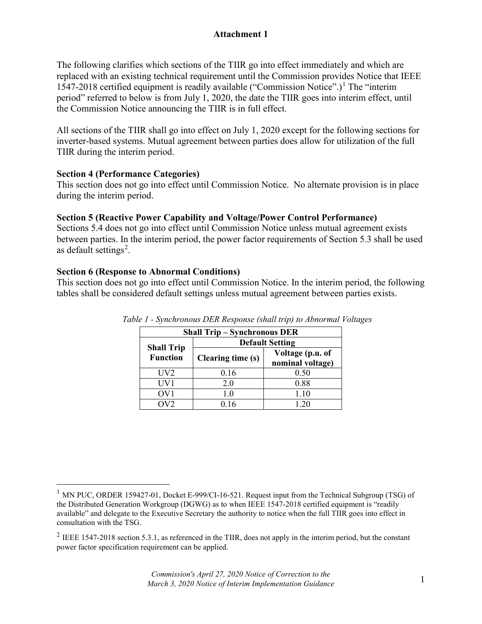#### **Attachment 1**

The following clarifies which sections of the TIIR go into effect immediately and which are replaced with an existing technical requirement until the Commission provides Notice that IEEE [1](#page-46-0)547-2018 certified equipment is readily available ("Commission Notice".)<sup>1</sup> The "interim" period" referred to below is from July 1, 2020, the date the TIIR goes into interim effect, until the Commission Notice announcing the TIIR is in full effect.

All sections of the TIIR shall go into effect on July 1, 2020 except for the following sections for inverter-based systems. Mutual agreement between parties does allow for utilization of the full TIIR during the interim period.

#### **Section 4 (Performance Categories)**

This section does not go into effect until Commission Notice. No alternate provision is in place during the interim period.

#### **Section 5 (Reactive Power Capability and Voltage/Power Control Performance)**

Sections 5.4 does not go into effect until Commission Notice unless mutual agreement exists between parties. In the interim period, the power factor requirements of Section 5.3 shall be used as default settings<sup>[2](#page-46-1)</sup>.

#### **Section 6 (Response to Abnormal Conditions)**

This section does not go into effect until Commission Notice. In the interim period, the following tables shall be considered default settings unless mutual agreement between parties exists.

| <b>Shall Trip - Synchronous DER</b>  |                        |                                      |  |
|--------------------------------------|------------------------|--------------------------------------|--|
|                                      | <b>Default Setting</b> |                                      |  |
| <b>Shall Trip</b><br><b>Function</b> | Clearing time (s)      | Voltage (p.u. of<br>nominal voltage) |  |
| UV <sub>2</sub>                      | 0.16                   | 0.50                                 |  |
| UV1                                  | 2.0                    | 0.88                                 |  |
| OV 1                                 | 1.0                    | 1.10                                 |  |
|                                      | 0 16                   | 1 20                                 |  |

*Table 1 - Synchronous DER Response (shall trip) to Abnormal Voltages* 

<span id="page-46-0"></span><sup>&</sup>lt;sup>1</sup> MN PUC, ORDER 159427-01, Docket E-999/CI-16-521. Request input from the Technical Subgroup (TSG) of the Distributed Generation Workgroup (DGWG) as to when IEEE 1547-2018 certified equipment is "readily available" and delegate to the Executive Secretary the authority to notice when the full TIIR goes into effect in consultation with the TSG.

<span id="page-46-1"></span> $2$  IEEE 1547-2018 section 5.3.1, as referenced in the TIIR, does not apply in the interim period, but the constant power factor specification requirement can be applied.